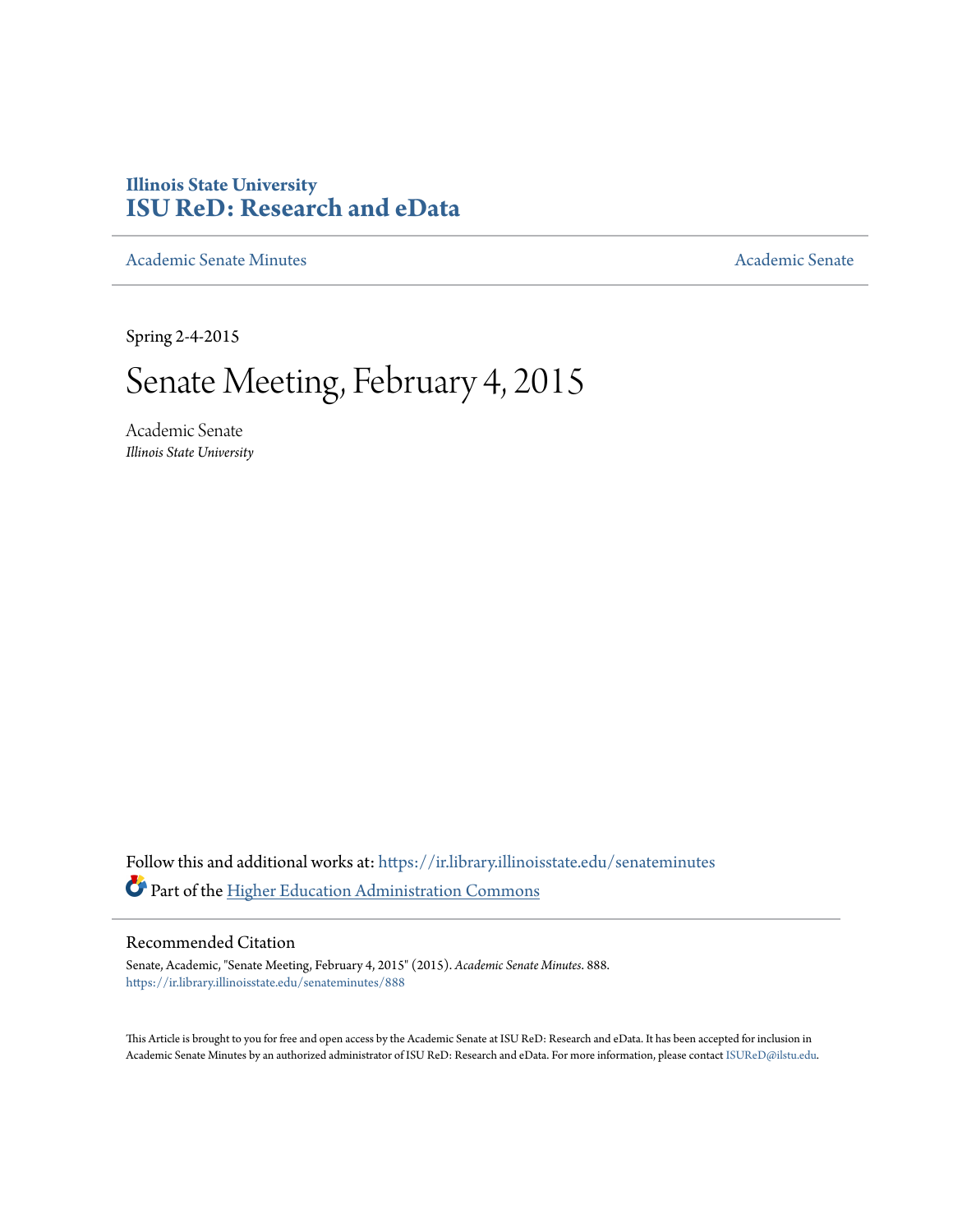## **Illinois State University [ISU ReD: Research and eData](https://ir.library.illinoisstate.edu?utm_source=ir.library.illinoisstate.edu%2Fsenateminutes%2F888&utm_medium=PDF&utm_campaign=PDFCoverPages)**

[Academic Senate Minutes](https://ir.library.illinoisstate.edu/senateminutes?utm_source=ir.library.illinoisstate.edu%2Fsenateminutes%2F888&utm_medium=PDF&utm_campaign=PDFCoverPages) [Academic Senate](https://ir.library.illinoisstate.edu/senate?utm_source=ir.library.illinoisstate.edu%2Fsenateminutes%2F888&utm_medium=PDF&utm_campaign=PDFCoverPages) Academic Senate

Spring 2-4-2015

# Senate Meeting, February 4, 2015

Academic Senate *Illinois State University*

Follow this and additional works at: [https://ir.library.illinoisstate.edu/senateminutes](https://ir.library.illinoisstate.edu/senateminutes?utm_source=ir.library.illinoisstate.edu%2Fsenateminutes%2F888&utm_medium=PDF&utm_campaign=PDFCoverPages) Part of the [Higher Education Administration Commons](http://network.bepress.com/hgg/discipline/791?utm_source=ir.library.illinoisstate.edu%2Fsenateminutes%2F888&utm_medium=PDF&utm_campaign=PDFCoverPages)

#### Recommended Citation

Senate, Academic, "Senate Meeting, February 4, 2015" (2015). *Academic Senate Minutes*. 888. [https://ir.library.illinoisstate.edu/senateminutes/888](https://ir.library.illinoisstate.edu/senateminutes/888?utm_source=ir.library.illinoisstate.edu%2Fsenateminutes%2F888&utm_medium=PDF&utm_campaign=PDFCoverPages)

This Article is brought to you for free and open access by the Academic Senate at ISU ReD: Research and eData. It has been accepted for inclusion in Academic Senate Minutes by an authorized administrator of ISU ReD: Research and eData. For more information, please contact [ISUReD@ilstu.edu.](mailto:ISUReD@ilstu.edu)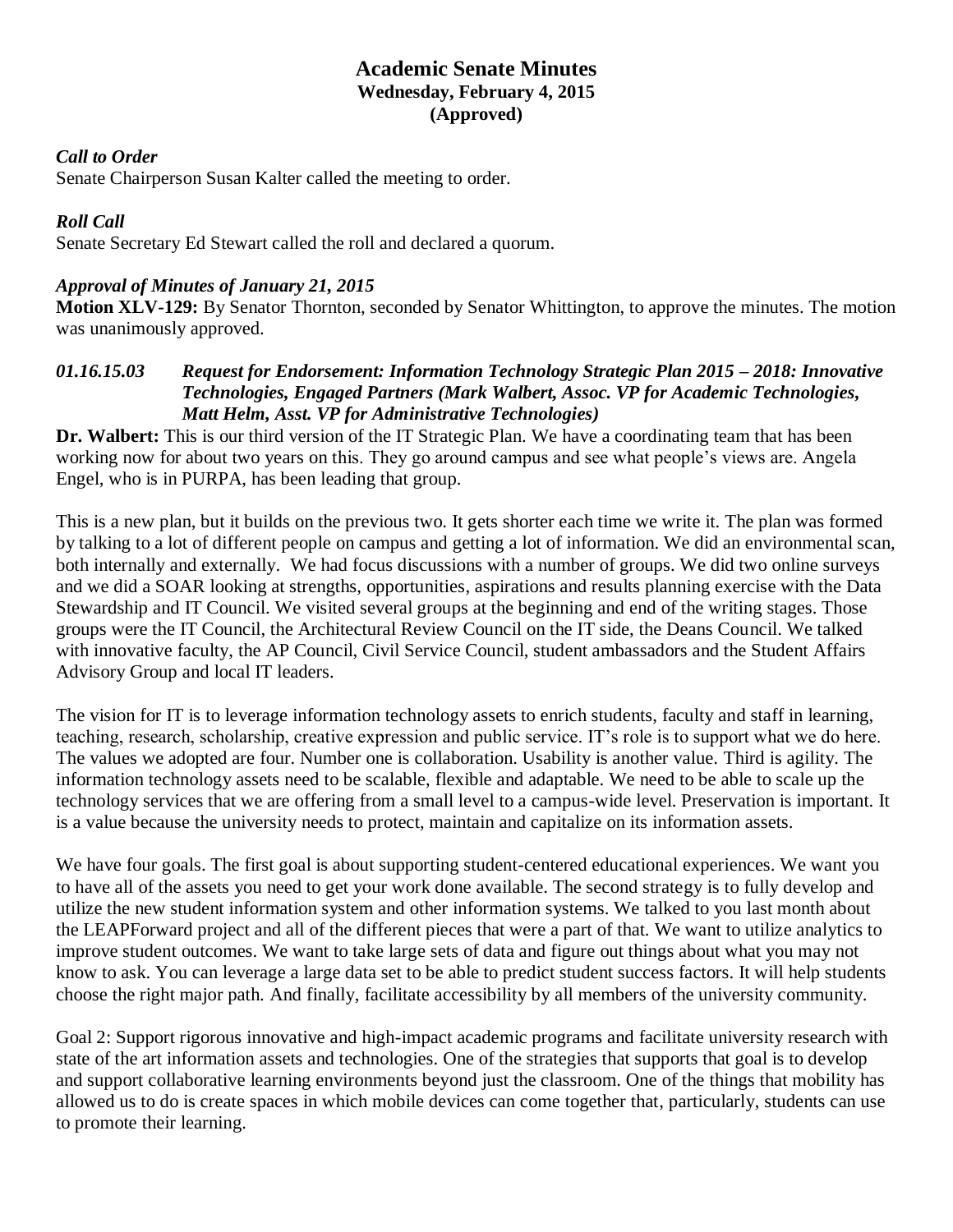## **Academic Senate Minutes Wednesday, February 4, 2015 (Approved)**

#### *Call to Order*

Senate Chairperson Susan Kalter called the meeting to order.

#### *Roll Call*

Senate Secretary Ed Stewart called the roll and declared a quorum.

#### *Approval of Minutes of January 21, 2015*

**Motion XLV-129:** By Senator Thornton, seconded by Senator Whittington, to approve the minutes. The motion was unanimously approved.

#### *01.16.15.03 Request for Endorsement: Information Technology Strategic Plan 2015 – 2018: Innovative Technologies, Engaged Partners (Mark Walbert, Assoc. VP for Academic Technologies, Matt Helm, Asst. VP for Administrative Technologies)*

**Dr. Walbert:** This is our third version of the IT Strategic Plan. We have a coordinating team that has been working now for about two years on this. They go around campus and see what people's views are. Angela Engel, who is in PURPA, has been leading that group.

This is a new plan, but it builds on the previous two. It gets shorter each time we write it. The plan was formed by talking to a lot of different people on campus and getting a lot of information. We did an environmental scan, both internally and externally. We had focus discussions with a number of groups. We did two online surveys and we did a SOAR looking at strengths, opportunities, aspirations and results planning exercise with the Data Stewardship and IT Council. We visited several groups at the beginning and end of the writing stages. Those groups were the IT Council, the Architectural Review Council on the IT side, the Deans Council. We talked with innovative faculty, the AP Council, Civil Service Council, student ambassadors and the Student Affairs Advisory Group and local IT leaders.

The vision for IT is to leverage information technology assets to enrich students, faculty and staff in learning, teaching, research, scholarship, creative expression and public service. IT's role is to support what we do here. The values we adopted are four. Number one is collaboration. Usability is another value. Third is agility. The information technology assets need to be scalable, flexible and adaptable. We need to be able to scale up the technology services that we are offering from a small level to a campus-wide level. Preservation is important. It is a value because the university needs to protect, maintain and capitalize on its information assets.

We have four goals. The first goal is about supporting student-centered educational experiences. We want you to have all of the assets you need to get your work done available. The second strategy is to fully develop and utilize the new student information system and other information systems. We talked to you last month about the LEAPForward project and all of the different pieces that were a part of that. We want to utilize analytics to improve student outcomes. We want to take large sets of data and figure out things about what you may not know to ask. You can leverage a large data set to be able to predict student success factors. It will help students choose the right major path. And finally, facilitate accessibility by all members of the university community.

Goal 2: Support rigorous innovative and high-impact academic programs and facilitate university research with state of the art information assets and technologies. One of the strategies that supports that goal is to develop and support collaborative learning environments beyond just the classroom. One of the things that mobility has allowed us to do is create spaces in which mobile devices can come together that, particularly, students can use to promote their learning.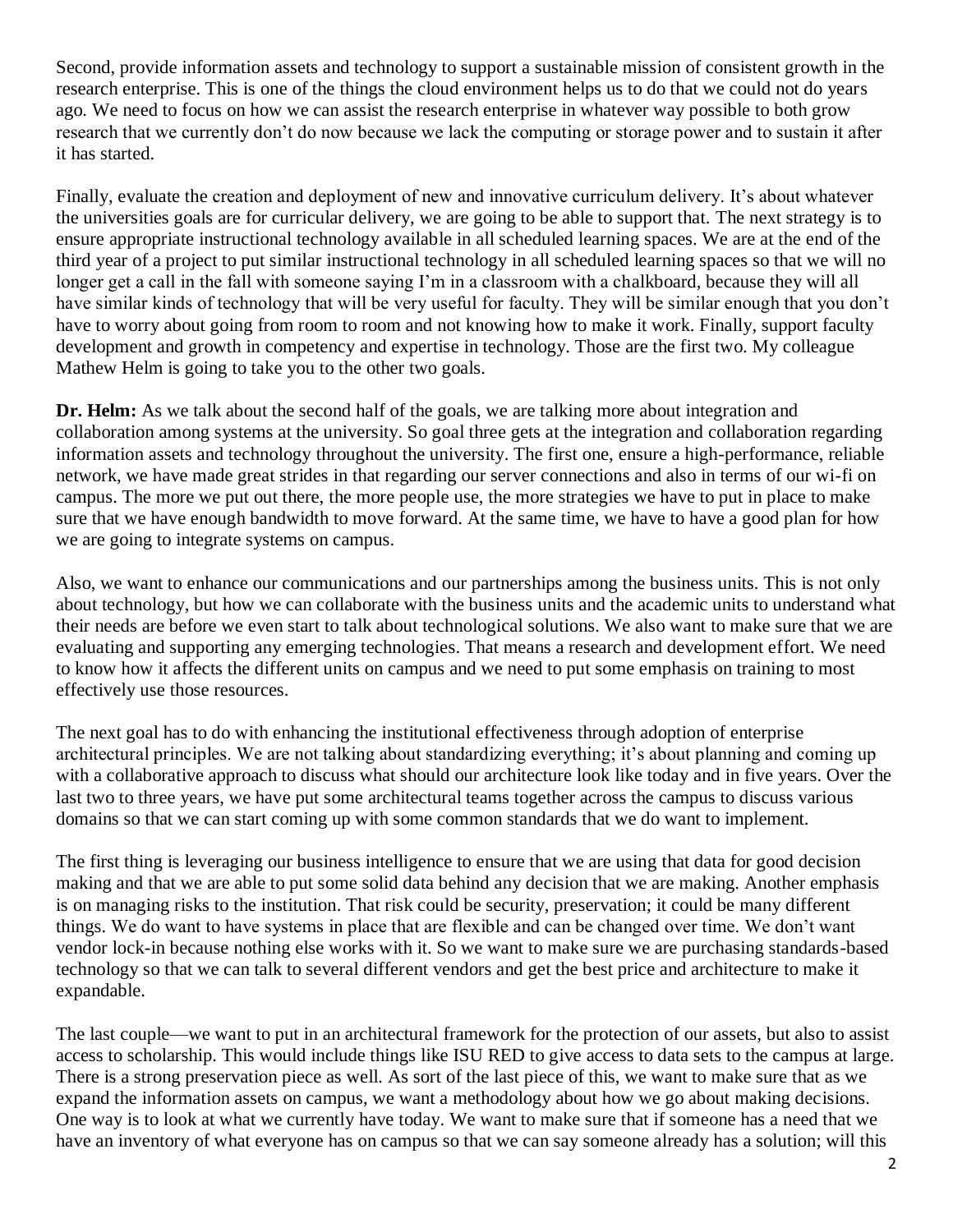Second, provide information assets and technology to support a sustainable mission of consistent growth in the research enterprise. This is one of the things the cloud environment helps us to do that we could not do years ago. We need to focus on how we can assist the research enterprise in whatever way possible to both grow research that we currently don't do now because we lack the computing or storage power and to sustain it after it has started.

Finally, evaluate the creation and deployment of new and innovative curriculum delivery. It's about whatever the universities goals are for curricular delivery, we are going to be able to support that. The next strategy is to ensure appropriate instructional technology available in all scheduled learning spaces. We are at the end of the third year of a project to put similar instructional technology in all scheduled learning spaces so that we will no longer get a call in the fall with someone saying I'm in a classroom with a chalkboard, because they will all have similar kinds of technology that will be very useful for faculty. They will be similar enough that you don't have to worry about going from room to room and not knowing how to make it work. Finally, support faculty development and growth in competency and expertise in technology. Those are the first two. My colleague Mathew Helm is going to take you to the other two goals.

**Dr. Helm:** As we talk about the second half of the goals, we are talking more about integration and collaboration among systems at the university. So goal three gets at the integration and collaboration regarding information assets and technology throughout the university. The first one, ensure a high-performance, reliable network, we have made great strides in that regarding our server connections and also in terms of our wi-fi on campus. The more we put out there, the more people use, the more strategies we have to put in place to make sure that we have enough bandwidth to move forward. At the same time, we have to have a good plan for how we are going to integrate systems on campus.

Also, we want to enhance our communications and our partnerships among the business units. This is not only about technology, but how we can collaborate with the business units and the academic units to understand what their needs are before we even start to talk about technological solutions. We also want to make sure that we are evaluating and supporting any emerging technologies. That means a research and development effort. We need to know how it affects the different units on campus and we need to put some emphasis on training to most effectively use those resources.

The next goal has to do with enhancing the institutional effectiveness through adoption of enterprise architectural principles. We are not talking about standardizing everything; it's about planning and coming up with a collaborative approach to discuss what should our architecture look like today and in five years. Over the last two to three years, we have put some architectural teams together across the campus to discuss various domains so that we can start coming up with some common standards that we do want to implement.

The first thing is leveraging our business intelligence to ensure that we are using that data for good decision making and that we are able to put some solid data behind any decision that we are making. Another emphasis is on managing risks to the institution. That risk could be security, preservation; it could be many different things. We do want to have systems in place that are flexible and can be changed over time. We don't want vendor lock-in because nothing else works with it. So we want to make sure we are purchasing standards-based technology so that we can talk to several different vendors and get the best price and architecture to make it expandable.

The last couple—we want to put in an architectural framework for the protection of our assets, but also to assist access to scholarship. This would include things like ISU RED to give access to data sets to the campus at large. There is a strong preservation piece as well. As sort of the last piece of this, we want to make sure that as we expand the information assets on campus, we want a methodology about how we go about making decisions. One way is to look at what we currently have today. We want to make sure that if someone has a need that we have an inventory of what everyone has on campus so that we can say someone already has a solution; will this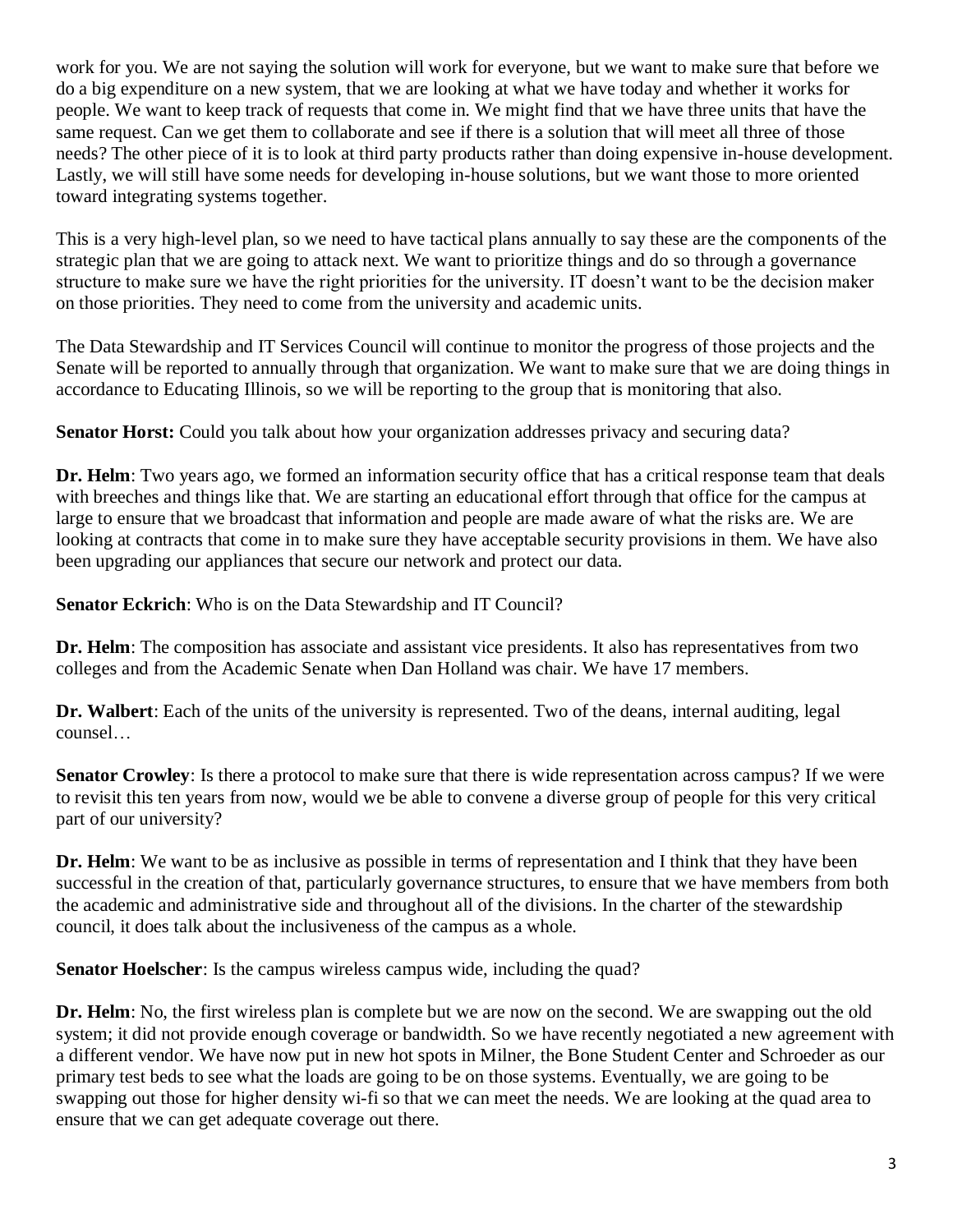work for you. We are not saying the solution will work for everyone, but we want to make sure that before we do a big expenditure on a new system, that we are looking at what we have today and whether it works for people. We want to keep track of requests that come in. We might find that we have three units that have the same request. Can we get them to collaborate and see if there is a solution that will meet all three of those needs? The other piece of it is to look at third party products rather than doing expensive in-house development. Lastly, we will still have some needs for developing in-house solutions, but we want those to more oriented toward integrating systems together.

This is a very high-level plan, so we need to have tactical plans annually to say these are the components of the strategic plan that we are going to attack next. We want to prioritize things and do so through a governance structure to make sure we have the right priorities for the university. IT doesn't want to be the decision maker on those priorities. They need to come from the university and academic units.

The Data Stewardship and IT Services Council will continue to monitor the progress of those projects and the Senate will be reported to annually through that organization. We want to make sure that we are doing things in accordance to Educating Illinois, so we will be reporting to the group that is monitoring that also.

**Senator Horst:** Could you talk about how your organization addresses privacy and securing data?

**Dr. Helm**: Two years ago, we formed an information security office that has a critical response team that deals with breeches and things like that. We are starting an educational effort through that office for the campus at large to ensure that we broadcast that information and people are made aware of what the risks are. We are looking at contracts that come in to make sure they have acceptable security provisions in them. We have also been upgrading our appliances that secure our network and protect our data.

**Senator Eckrich**: Who is on the Data Stewardship and IT Council?

**Dr. Helm**: The composition has associate and assistant vice presidents. It also has representatives from two colleges and from the Academic Senate when Dan Holland was chair. We have 17 members.

**Dr. Walbert**: Each of the units of the university is represented. Two of the deans, internal auditing, legal counsel…

**Senator Crowley**: Is there a protocol to make sure that there is wide representation across campus? If we were to revisit this ten years from now, would we be able to convene a diverse group of people for this very critical part of our university?

**Dr. Helm**: We want to be as inclusive as possible in terms of representation and I think that they have been successful in the creation of that, particularly governance structures, to ensure that we have members from both the academic and administrative side and throughout all of the divisions. In the charter of the stewardship council, it does talk about the inclusiveness of the campus as a whole.

**Senator Hoelscher**: Is the campus wireless campus wide, including the quad?

**Dr. Helm**: No, the first wireless plan is complete but we are now on the second. We are swapping out the old system; it did not provide enough coverage or bandwidth. So we have recently negotiated a new agreement with a different vendor. We have now put in new hot spots in Milner, the Bone Student Center and Schroeder as our primary test beds to see what the loads are going to be on those systems. Eventually, we are going to be swapping out those for higher density wi-fi so that we can meet the needs. We are looking at the quad area to ensure that we can get adequate coverage out there.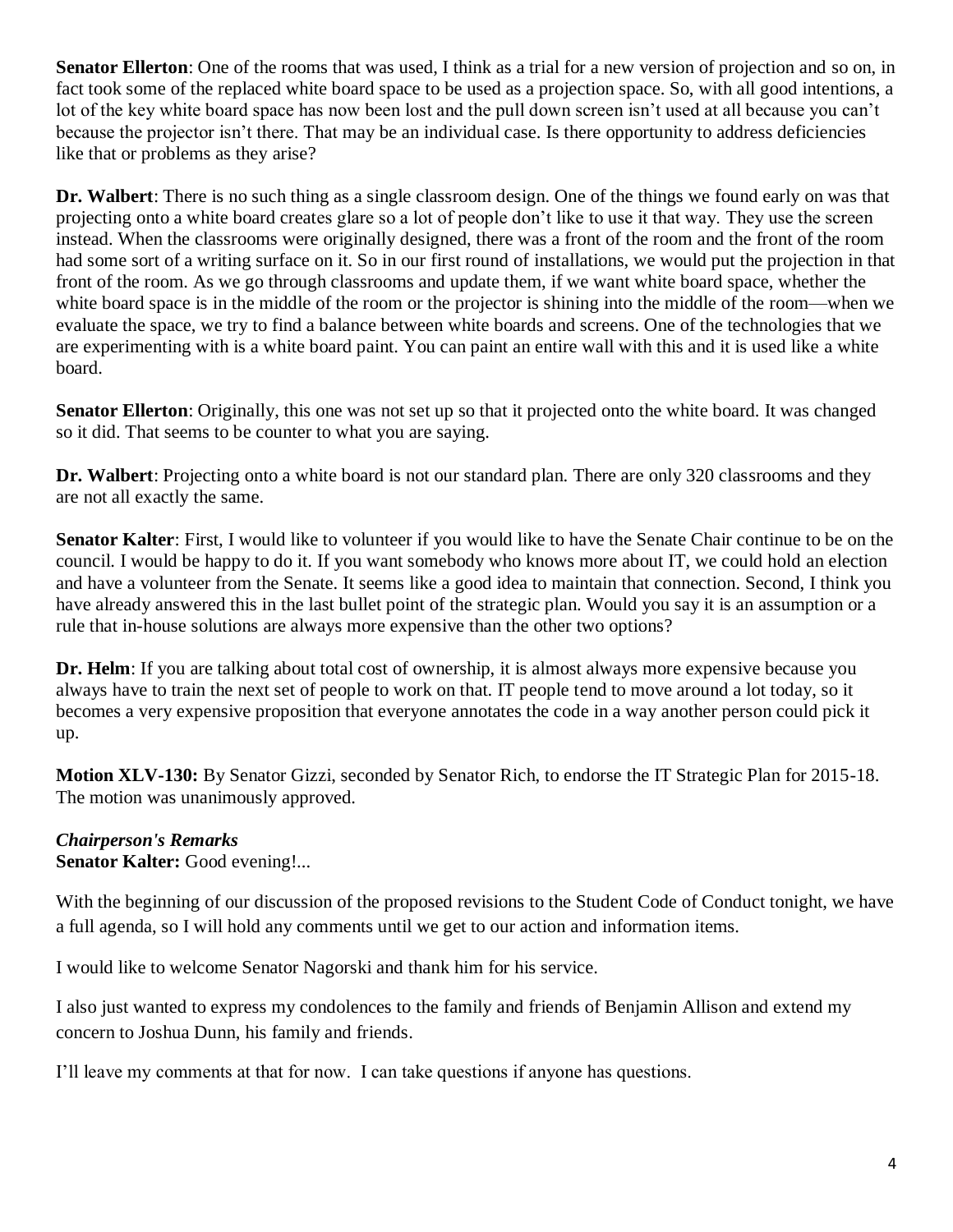**Senator Ellerton**: One of the rooms that was used, I think as a trial for a new version of projection and so on, in fact took some of the replaced white board space to be used as a projection space. So, with all good intentions, a lot of the key white board space has now been lost and the pull down screen isn't used at all because you can't because the projector isn't there. That may be an individual case. Is there opportunity to address deficiencies like that or problems as they arise?

**Dr. Walbert**: There is no such thing as a single classroom design. One of the things we found early on was that projecting onto a white board creates glare so a lot of people don't like to use it that way. They use the screen instead. When the classrooms were originally designed, there was a front of the room and the front of the room had some sort of a writing surface on it. So in our first round of installations, we would put the projection in that front of the room. As we go through classrooms and update them, if we want white board space, whether the white board space is in the middle of the room or the projector is shining into the middle of the room—when we evaluate the space, we try to find a balance between white boards and screens. One of the technologies that we are experimenting with is a white board paint. You can paint an entire wall with this and it is used like a white board.

**Senator Ellerton**: Originally, this one was not set up so that it projected onto the white board. It was changed so it did. That seems to be counter to what you are saying.

**Dr. Walbert**: Projecting onto a white board is not our standard plan. There are only 320 classrooms and they are not all exactly the same.

**Senator Kalter**: First, I would like to volunteer if you would like to have the Senate Chair continue to be on the council. I would be happy to do it. If you want somebody who knows more about IT, we could hold an election and have a volunteer from the Senate. It seems like a good idea to maintain that connection. Second, I think you have already answered this in the last bullet point of the strategic plan. Would you say it is an assumption or a rule that in-house solutions are always more expensive than the other two options?

**Dr. Helm**: If you are talking about total cost of ownership, it is almost always more expensive because you always have to train the next set of people to work on that. IT people tend to move around a lot today, so it becomes a very expensive proposition that everyone annotates the code in a way another person could pick it up.

**Motion XLV-130:** By Senator Gizzi, seconded by Senator Rich, to endorse the IT Strategic Plan for 2015-18. The motion was unanimously approved.

## *Chairperson's Remarks*

**Senator Kalter: Good evening!...** 

With the beginning of our discussion of the proposed revisions to the Student Code of Conduct tonight, we have a full agenda, so I will hold any comments until we get to our action and information items.

I would like to welcome Senator Nagorski and thank him for his service.

I also just wanted to express my condolences to the family and friends of Benjamin Allison and extend my concern to Joshua Dunn, his family and friends.

I'll leave my comments at that for now. I can take questions if anyone has questions.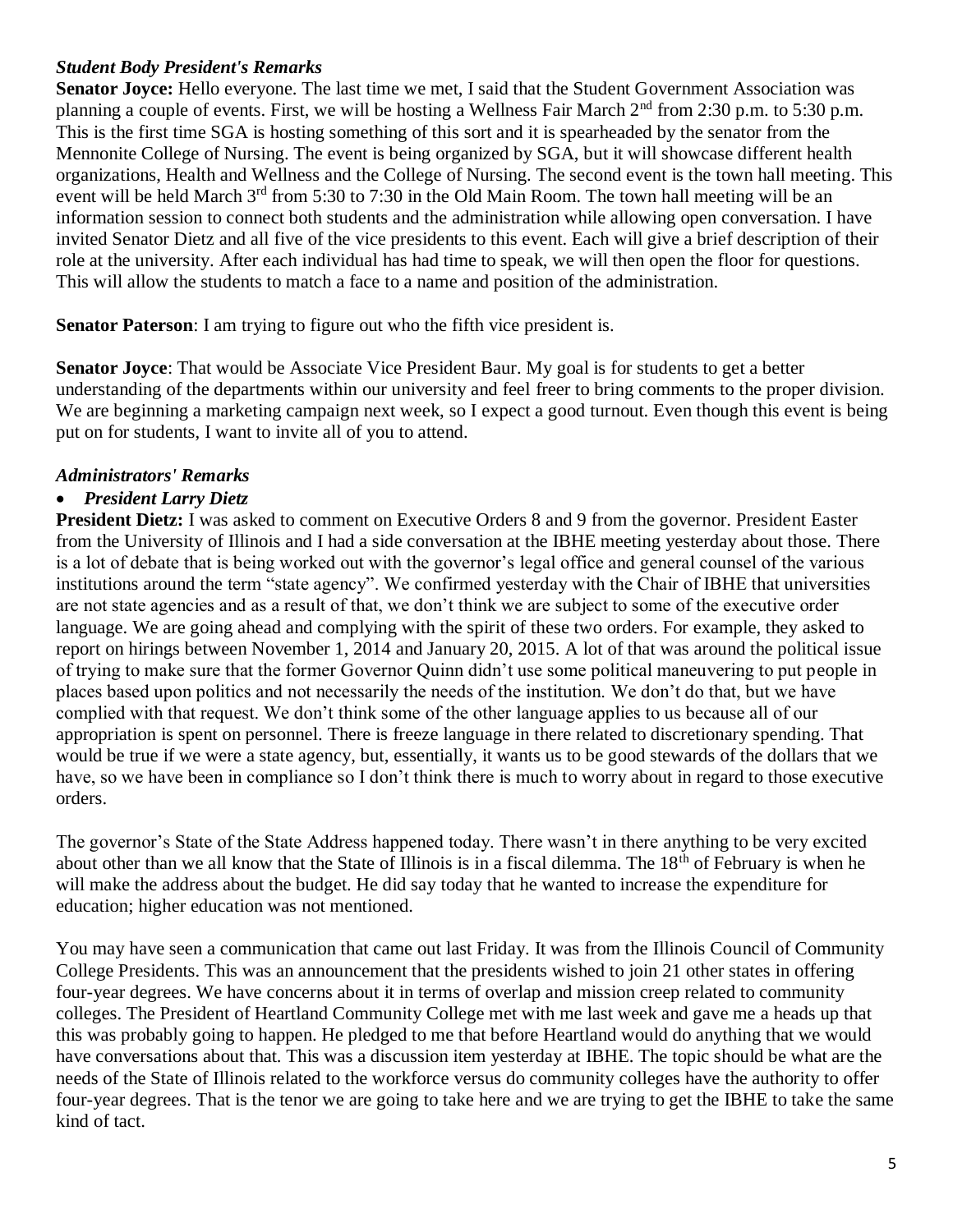## *Student Body President's Remarks*

**Senator Joyce:** Hello everyone. The last time we met, I said that the Student Government Association was planning a couple of events. First, we will be hosting a Wellness Fair March 2<sup>nd</sup> from 2:30 p.m. to 5:30 p.m. This is the first time SGA is hosting something of this sort and it is spearheaded by the senator from the Mennonite College of Nursing. The event is being organized by SGA, but it will showcase different health organizations, Health and Wellness and the College of Nursing. The second event is the town hall meeting. This event will be held March 3<sup>rd</sup> from 5:30 to 7:30 in the Old Main Room. The town hall meeting will be an information session to connect both students and the administration while allowing open conversation. I have invited Senator Dietz and all five of the vice presidents to this event. Each will give a brief description of their role at the university. After each individual has had time to speak, we will then open the floor for questions. This will allow the students to match a face to a name and position of the administration.

**Senator Paterson**: I am trying to figure out who the fifth vice president is.

**Senator Joyce**: That would be Associate Vice President Baur. My goal is for students to get a better understanding of the departments within our university and feel freer to bring comments to the proper division. We are beginning a marketing campaign next week, so I expect a good turnout. Even though this event is being put on for students, I want to invite all of you to attend.

#### *Administrators' Remarks*

#### • *President Larry Dietz*

**President Dietz:** I was asked to comment on Executive Orders 8 and 9 from the governor. President Easter from the University of Illinois and I had a side conversation at the IBHE meeting yesterday about those. There is a lot of debate that is being worked out with the governor's legal office and general counsel of the various institutions around the term "state agency". We confirmed yesterday with the Chair of IBHE that universities are not state agencies and as a result of that, we don't think we are subject to some of the executive order language. We are going ahead and complying with the spirit of these two orders. For example, they asked to report on hirings between November 1, 2014 and January 20, 2015. A lot of that was around the political issue of trying to make sure that the former Governor Quinn didn't use some political maneuvering to put people in places based upon politics and not necessarily the needs of the institution. We don't do that, but we have complied with that request. We don't think some of the other language applies to us because all of our appropriation is spent on personnel. There is freeze language in there related to discretionary spending. That would be true if we were a state agency, but, essentially, it wants us to be good stewards of the dollars that we have, so we have been in compliance so I don't think there is much to worry about in regard to those executive orders.

The governor's State of the State Address happened today. There wasn't in there anything to be very excited about other than we all know that the State of Illinois is in a fiscal dilemma. The 18<sup>th</sup> of February is when he will make the address about the budget. He did say today that he wanted to increase the expenditure for education; higher education was not mentioned.

You may have seen a communication that came out last Friday. It was from the Illinois Council of Community College Presidents. This was an announcement that the presidents wished to join 21 other states in offering four-year degrees. We have concerns about it in terms of overlap and mission creep related to community colleges. The President of Heartland Community College met with me last week and gave me a heads up that this was probably going to happen. He pledged to me that before Heartland would do anything that we would have conversations about that. This was a discussion item yesterday at IBHE. The topic should be what are the needs of the State of Illinois related to the workforce versus do community colleges have the authority to offer four-year degrees. That is the tenor we are going to take here and we are trying to get the IBHE to take the same kind of tact.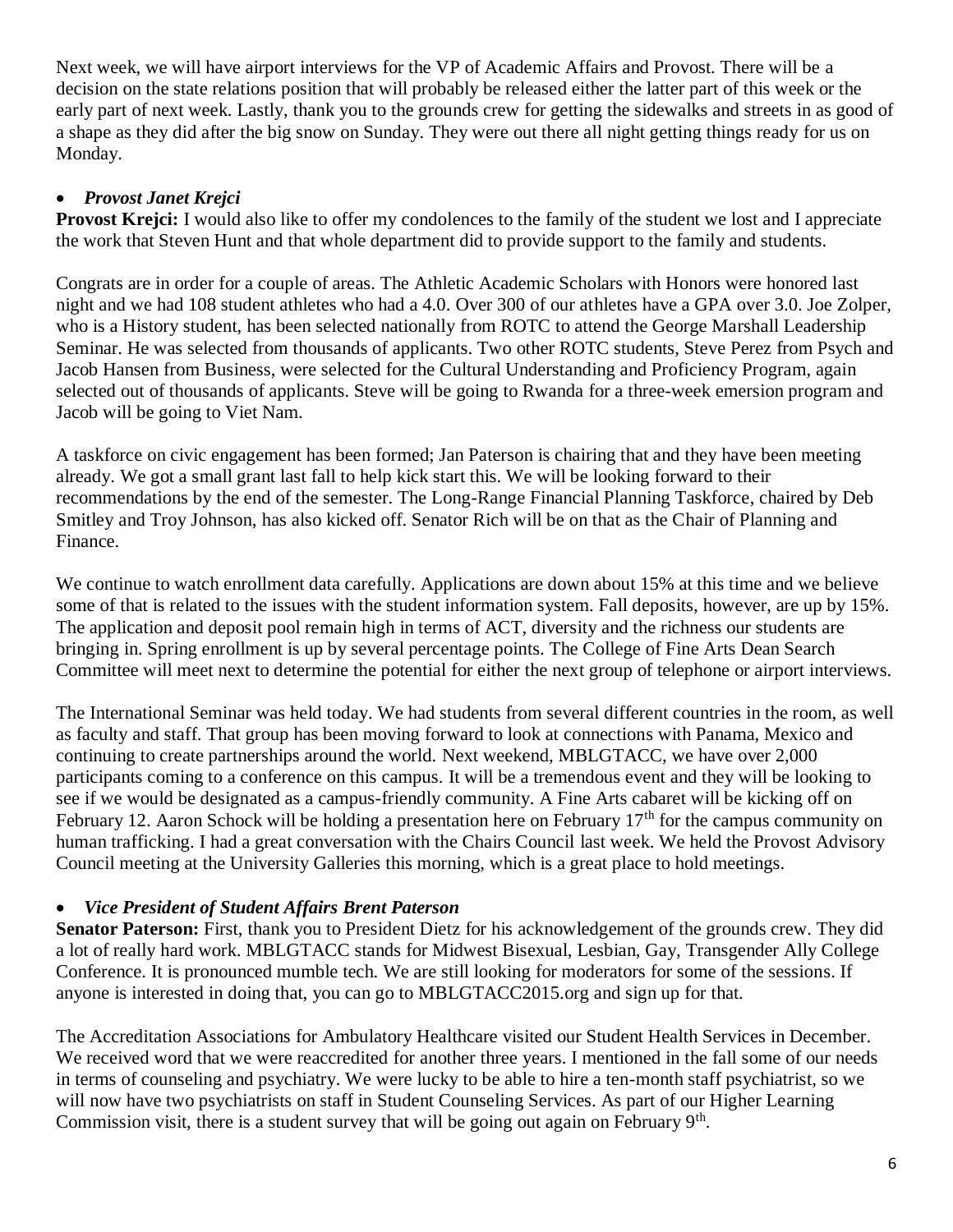Next week, we will have airport interviews for the VP of Academic Affairs and Provost. There will be a decision on the state relations position that will probably be released either the latter part of this week or the early part of next week. Lastly, thank you to the grounds crew for getting the sidewalks and streets in as good of a shape as they did after the big snow on Sunday. They were out there all night getting things ready for us on Monday.

## • *Provost Janet Krejci*

**Provost Krejci:** I would also like to offer my condolences to the family of the student we lost and I appreciate the work that Steven Hunt and that whole department did to provide support to the family and students.

Congrats are in order for a couple of areas. The Athletic Academic Scholars with Honors were honored last night and we had 108 student athletes who had a 4.0. Over 300 of our athletes have a GPA over 3.0. Joe Zolper, who is a History student, has been selected nationally from ROTC to attend the George Marshall Leadership Seminar. He was selected from thousands of applicants. Two other ROTC students, Steve Perez from Psych and Jacob Hansen from Business, were selected for the Cultural Understanding and Proficiency Program, again selected out of thousands of applicants. Steve will be going to Rwanda for a three-week emersion program and Jacob will be going to Viet Nam.

A taskforce on civic engagement has been formed; Jan Paterson is chairing that and they have been meeting already. We got a small grant last fall to help kick start this. We will be looking forward to their recommendations by the end of the semester. The Long-Range Financial Planning Taskforce, chaired by Deb Smitley and Troy Johnson, has also kicked off. Senator Rich will be on that as the Chair of Planning and Finance.

We continue to watch enrollment data carefully. Applications are down about 15% at this time and we believe some of that is related to the issues with the student information system. Fall deposits, however, are up by 15%. The application and deposit pool remain high in terms of ACT, diversity and the richness our students are bringing in. Spring enrollment is up by several percentage points. The College of Fine Arts Dean Search Committee will meet next to determine the potential for either the next group of telephone or airport interviews.

The International Seminar was held today. We had students from several different countries in the room, as well as faculty and staff. That group has been moving forward to look at connections with Panama, Mexico and continuing to create partnerships around the world. Next weekend, MBLGTACC, we have over 2,000 participants coming to a conference on this campus. It will be a tremendous event and they will be looking to see if we would be designated as a campus-friendly community. A Fine Arts cabaret will be kicking off on February 12. Aaron Schock will be holding a presentation here on February  $17<sup>th</sup>$  for the campus community on human trafficking. I had a great conversation with the Chairs Council last week. We held the Provost Advisory Council meeting at the University Galleries this morning, which is a great place to hold meetings.

## • *Vice President of Student Affairs Brent Paterson*

**Senator Paterson:** First, thank you to President Dietz for his acknowledgement of the grounds crew. They did a lot of really hard work. MBLGTACC stands for Midwest Bisexual, Lesbian, Gay, Transgender Ally College Conference. It is pronounced mumble tech. We are still looking for moderators for some of the sessions. If anyone is interested in doing that, you can go to MBLGTACC2015.org and sign up for that.

The Accreditation Associations for Ambulatory Healthcare visited our Student Health Services in December. We received word that we were reaccredited for another three years. I mentioned in the fall some of our needs in terms of counseling and psychiatry. We were lucky to be able to hire a ten-month staff psychiatrist, so we will now have two psychiatrists on staff in Student Counseling Services. As part of our Higher Learning Commission visit, there is a student survey that will be going out again on February  $9<sup>th</sup>$ .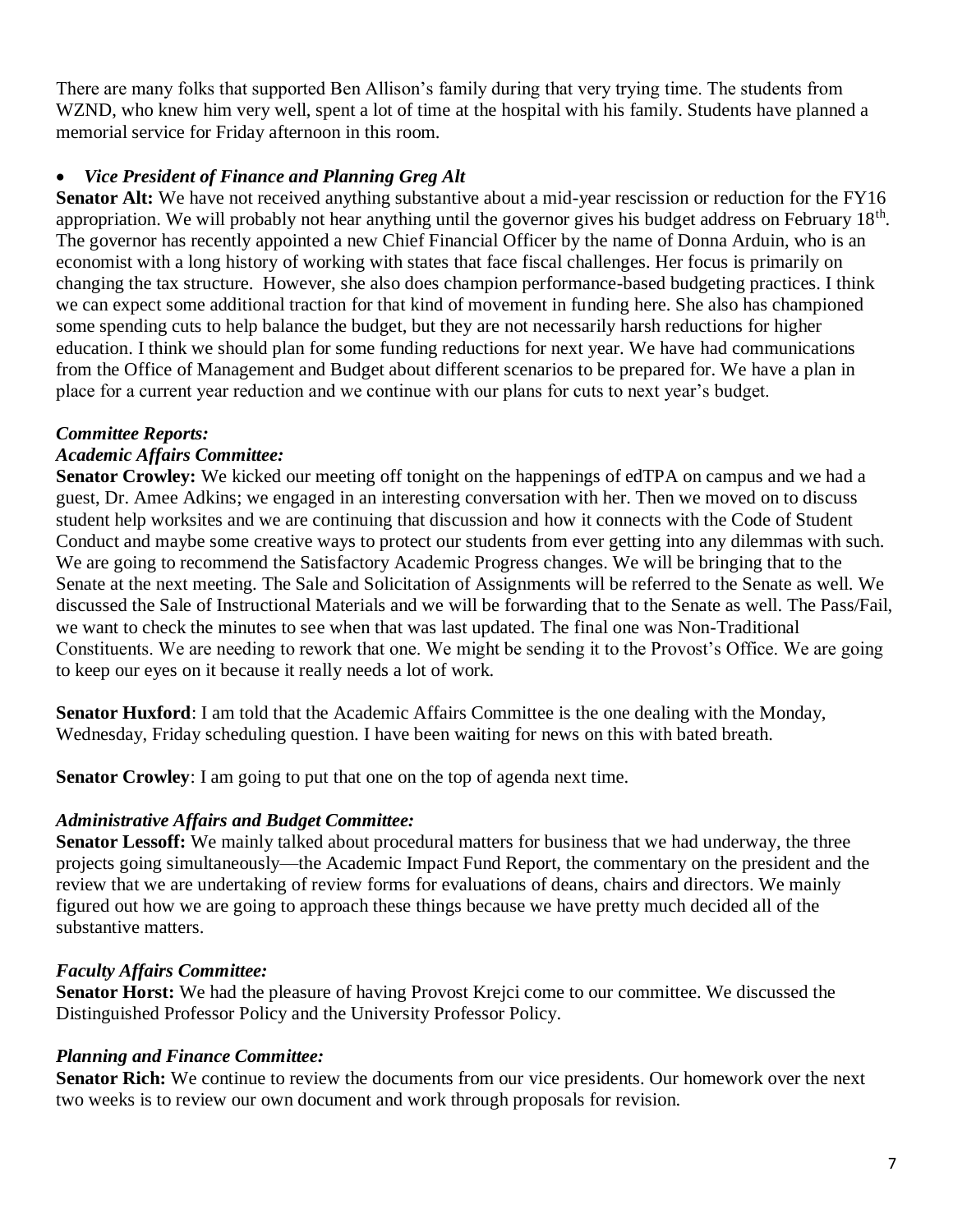There are many folks that supported Ben Allison's family during that very trying time. The students from WZND, who knew him very well, spent a lot of time at the hospital with his family. Students have planned a memorial service for Friday afternoon in this room.

## • *Vice President of Finance and Planning Greg Alt*

**Senator Alt:** We have not received anything substantive about a mid-year rescission or reduction for the FY16 appropriation. We will probably not hear anything until the governor gives his budget address on February 18<sup>th</sup>. The governor has recently appointed a new Chief Financial Officer by the name of Donna Arduin, who is an economist with a long history of working with states that face fiscal challenges. Her focus is primarily on changing the tax structure. However, she also does champion performance-based budgeting practices. I think we can expect some additional traction for that kind of movement in funding here. She also has championed some spending cuts to help balance the budget, but they are not necessarily harsh reductions for higher education. I think we should plan for some funding reductions for next year. We have had communications from the Office of Management and Budget about different scenarios to be prepared for. We have a plan in place for a current year reduction and we continue with our plans for cuts to next year's budget.

## *Committee Reports:*

## *Academic Affairs Committee:*

**Senator Crowley:** We kicked our meeting off tonight on the happenings of edTPA on campus and we had a guest, Dr. Amee Adkins; we engaged in an interesting conversation with her. Then we moved on to discuss student help worksites and we are continuing that discussion and how it connects with the Code of Student Conduct and maybe some creative ways to protect our students from ever getting into any dilemmas with such. We are going to recommend the Satisfactory Academic Progress changes. We will be bringing that to the Senate at the next meeting. The Sale and Solicitation of Assignments will be referred to the Senate as well. We discussed the Sale of Instructional Materials and we will be forwarding that to the Senate as well. The Pass/Fail, we want to check the minutes to see when that was last updated. The final one was Non-Traditional Constituents. We are needing to rework that one. We might be sending it to the Provost's Office. We are going to keep our eyes on it because it really needs a lot of work.

**Senator Huxford**: I am told that the Academic Affairs Committee is the one dealing with the Monday, Wednesday, Friday scheduling question. I have been waiting for news on this with bated breath.

**Senator Crowley**: I am going to put that one on the top of agenda next time.

## *Administrative Affairs and Budget Committee:*

**Senator Lessoff:** We mainly talked about procedural matters for business that we had underway, the three projects going simultaneously—the Academic Impact Fund Report, the commentary on the president and the review that we are undertaking of review forms for evaluations of deans, chairs and directors. We mainly figured out how we are going to approach these things because we have pretty much decided all of the substantive matters.

## *Faculty Affairs Committee:*

**Senator Horst:** We had the pleasure of having Provost Krejci come to our committee. We discussed the Distinguished Professor Policy and the University Professor Policy.

## *Planning and Finance Committee:*

**Senator Rich:** We continue to review the documents from our vice presidents. Our homework over the next two weeks is to review our own document and work through proposals for revision.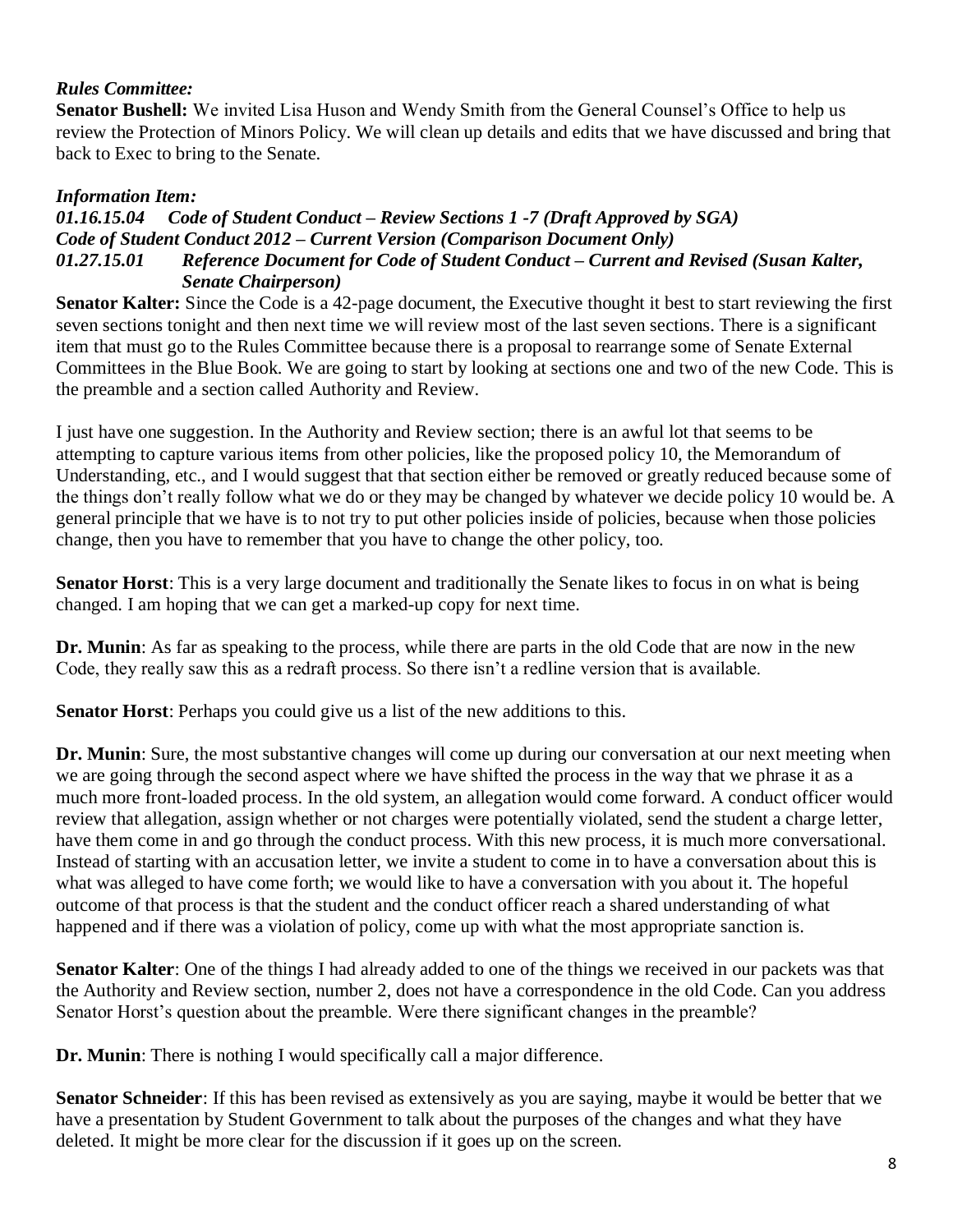#### *Rules Committee:*

**Senator Bushell:** We invited Lisa Huson and Wendy Smith from the General Counsel's Office to help us review the Protection of Minors Policy. We will clean up details and edits that we have discussed and bring that back to Exec to bring to the Senate.

#### *Information Item:*

#### *01.16.15.04 Code of Student Conduct – Review Sections 1 -7 (Draft Approved by SGA) Code of Student Conduct 2012 – Current Version (Comparison Document Only) 01.27.15.01 Reference Document for Code of Student Conduct – Current and Revised (Susan Kalter, Senate Chairperson)*

**Senator Kalter:** Since the Code is a 42-page document, the Executive thought it best to start reviewing the first seven sections tonight and then next time we will review most of the last seven sections. There is a significant item that must go to the Rules Committee because there is a proposal to rearrange some of Senate External Committees in the Blue Book. We are going to start by looking at sections one and two of the new Code. This is the preamble and a section called Authority and Review.

I just have one suggestion. In the Authority and Review section; there is an awful lot that seems to be attempting to capture various items from other policies, like the proposed policy 10, the Memorandum of Understanding, etc., and I would suggest that that section either be removed or greatly reduced because some of the things don't really follow what we do or they may be changed by whatever we decide policy 10 would be. A general principle that we have is to not try to put other policies inside of policies, because when those policies change, then you have to remember that you have to change the other policy, too.

**Senator Horst**: This is a very large document and traditionally the Senate likes to focus in on what is being changed. I am hoping that we can get a marked-up copy for next time.

**Dr. Munin**: As far as speaking to the process, while there are parts in the old Code that are now in the new Code, they really saw this as a redraft process. So there isn't a redline version that is available.

**Senator Horst**: Perhaps you could give us a list of the new additions to this.

**Dr. Munin**: Sure, the most substantive changes will come up during our conversation at our next meeting when we are going through the second aspect where we have shifted the process in the way that we phrase it as a much more front-loaded process. In the old system, an allegation would come forward. A conduct officer would review that allegation, assign whether or not charges were potentially violated, send the student a charge letter, have them come in and go through the conduct process. With this new process, it is much more conversational. Instead of starting with an accusation letter, we invite a student to come in to have a conversation about this is what was alleged to have come forth; we would like to have a conversation with you about it. The hopeful outcome of that process is that the student and the conduct officer reach a shared understanding of what happened and if there was a violation of policy, come up with what the most appropriate sanction is.

**Senator Kalter**: One of the things I had already added to one of the things we received in our packets was that the Authority and Review section, number 2, does not have a correspondence in the old Code. Can you address Senator Horst's question about the preamble. Were there significant changes in the preamble?

**Dr. Munin**: There is nothing I would specifically call a major difference.

**Senator Schneider**: If this has been revised as extensively as you are saying, maybe it would be better that we have a presentation by Student Government to talk about the purposes of the changes and what they have deleted. It might be more clear for the discussion if it goes up on the screen.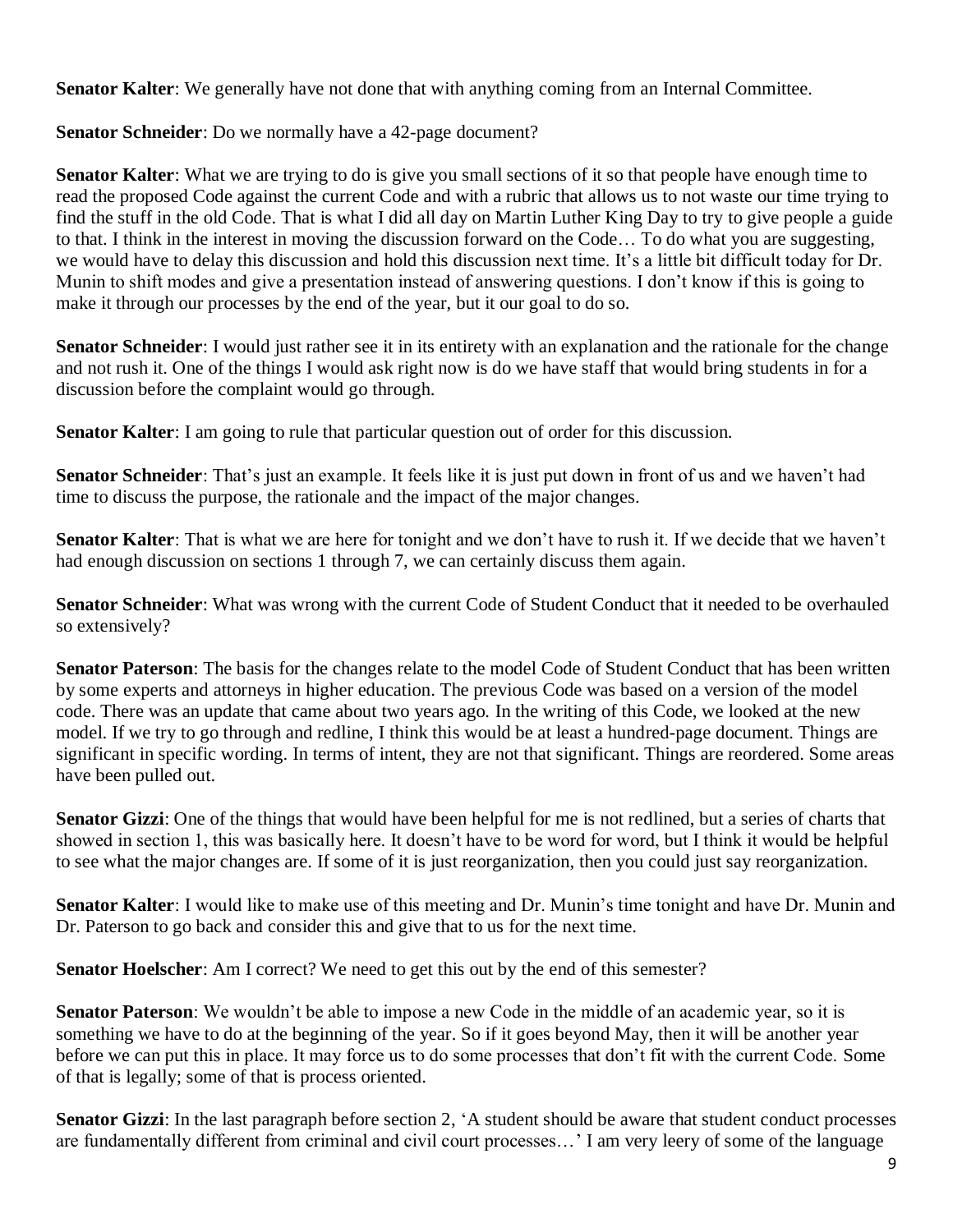**Senator Kalter**: We generally have not done that with anything coming from an Internal Committee.

## **Senator Schneider**: Do we normally have a 42-page document?

**Senator Kalter**: What we are trying to do is give you small sections of it so that people have enough time to read the proposed Code against the current Code and with a rubric that allows us to not waste our time trying to find the stuff in the old Code. That is what I did all day on Martin Luther King Day to try to give people a guide to that. I think in the interest in moving the discussion forward on the Code… To do what you are suggesting, we would have to delay this discussion and hold this discussion next time. It's a little bit difficult today for Dr. Munin to shift modes and give a presentation instead of answering questions. I don't know if this is going to make it through our processes by the end of the year, but it our goal to do so.

**Senator Schneider**: I would just rather see it in its entirety with an explanation and the rationale for the change and not rush it. One of the things I would ask right now is do we have staff that would bring students in for a discussion before the complaint would go through.

**Senator Kalter**: I am going to rule that particular question out of order for this discussion.

**Senator Schneider**: That's just an example. It feels like it is just put down in front of us and we haven't had time to discuss the purpose, the rationale and the impact of the major changes.

**Senator Kalter**: That is what we are here for tonight and we don't have to rush it. If we decide that we haven't had enough discussion on sections 1 through 7, we can certainly discuss them again.

**Senator Schneider**: What was wrong with the current Code of Student Conduct that it needed to be overhauled so extensively?

**Senator Paterson**: The basis for the changes relate to the model Code of Student Conduct that has been written by some experts and attorneys in higher education. The previous Code was based on a version of the model code. There was an update that came about two years ago. In the writing of this Code, we looked at the new model. If we try to go through and redline, I think this would be at least a hundred-page document. Things are significant in specific wording. In terms of intent, they are not that significant. Things are reordered. Some areas have been pulled out.

**Senator Gizzi**: One of the things that would have been helpful for me is not redlined, but a series of charts that showed in section 1, this was basically here. It doesn't have to be word for word, but I think it would be helpful to see what the major changes are. If some of it is just reorganization, then you could just say reorganization.

**Senator Kalter**: I would like to make use of this meeting and Dr. Munin's time tonight and have Dr. Munin and Dr. Paterson to go back and consider this and give that to us for the next time.

**Senator Hoelscher:** Am I correct? We need to get this out by the end of this semester?

**Senator Paterson**: We wouldn't be able to impose a new Code in the middle of an academic year, so it is something we have to do at the beginning of the year. So if it goes beyond May, then it will be another year before we can put this in place. It may force us to do some processes that don't fit with the current Code. Some of that is legally; some of that is process oriented.

**Senator Gizzi**: In the last paragraph before section 2, 'A student should be aware that student conduct processes are fundamentally different from criminal and civil court processes…' I am very leery of some of the language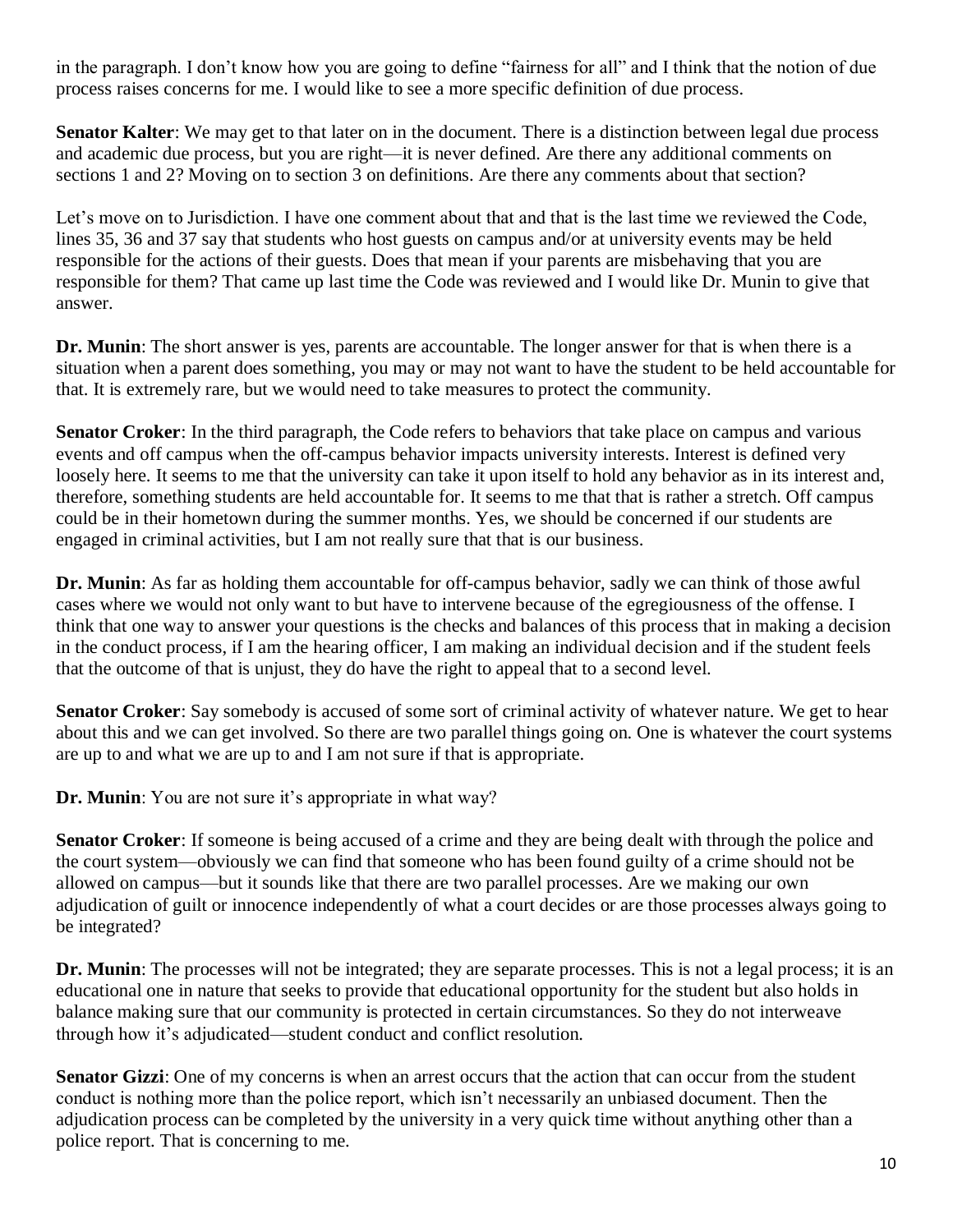in the paragraph. I don't know how you are going to define "fairness for all" and I think that the notion of due process raises concerns for me. I would like to see a more specific definition of due process.

**Senator Kalter**: We may get to that later on in the document. There is a distinction between legal due process and academic due process, but you are right—it is never defined. Are there any additional comments on sections 1 and 2? Moving on to section 3 on definitions. Are there any comments about that section?

Let's move on to Jurisdiction. I have one comment about that and that is the last time we reviewed the Code, lines 35, 36 and 37 say that students who host guests on campus and/or at university events may be held responsible for the actions of their guests. Does that mean if your parents are misbehaving that you are responsible for them? That came up last time the Code was reviewed and I would like Dr. Munin to give that answer.

**Dr. Munin**: The short answer is yes, parents are accountable. The longer answer for that is when there is a situation when a parent does something, you may or may not want to have the student to be held accountable for that. It is extremely rare, but we would need to take measures to protect the community.

**Senator Croker**: In the third paragraph, the Code refers to behaviors that take place on campus and various events and off campus when the off-campus behavior impacts university interests. Interest is defined very loosely here. It seems to me that the university can take it upon itself to hold any behavior as in its interest and, therefore, something students are held accountable for. It seems to me that that is rather a stretch. Off campus could be in their hometown during the summer months. Yes, we should be concerned if our students are engaged in criminal activities, but I am not really sure that that is our business.

**Dr. Munin**: As far as holding them accountable for off-campus behavior, sadly we can think of those awful cases where we would not only want to but have to intervene because of the egregiousness of the offense. I think that one way to answer your questions is the checks and balances of this process that in making a decision in the conduct process, if I am the hearing officer, I am making an individual decision and if the student feels that the outcome of that is unjust, they do have the right to appeal that to a second level.

**Senator Croker**: Say somebody is accused of some sort of criminal activity of whatever nature. We get to hear about this and we can get involved. So there are two parallel things going on. One is whatever the court systems are up to and what we are up to and I am not sure if that is appropriate.

**Dr. Munin**: You are not sure it's appropriate in what way?

**Senator Croker**: If someone is being accused of a crime and they are being dealt with through the police and the court system—obviously we can find that someone who has been found guilty of a crime should not be allowed on campus—but it sounds like that there are two parallel processes. Are we making our own adjudication of guilt or innocence independently of what a court decides or are those processes always going to be integrated?

**Dr. Munin**: The processes will not be integrated; they are separate processes. This is not a legal process; it is an educational one in nature that seeks to provide that educational opportunity for the student but also holds in balance making sure that our community is protected in certain circumstances. So they do not interweave through how it's adjudicated—student conduct and conflict resolution.

**Senator Gizzi**: One of my concerns is when an arrest occurs that the action that can occur from the student conduct is nothing more than the police report, which isn't necessarily an unbiased document. Then the adjudication process can be completed by the university in a very quick time without anything other than a police report. That is concerning to me.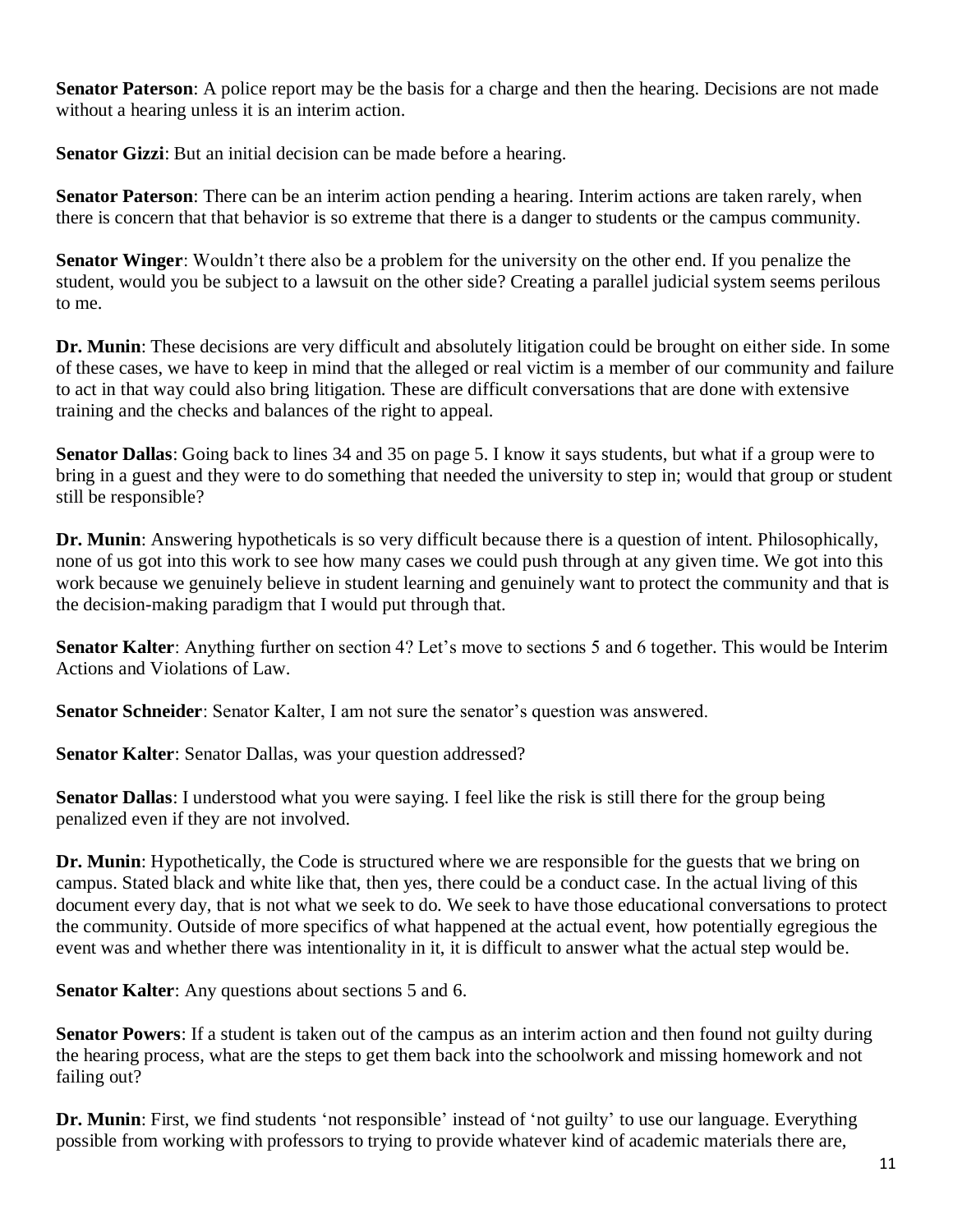**Senator Paterson**: A police report may be the basis for a charge and then the hearing. Decisions are not made without a hearing unless it is an interim action.

**Senator Gizzi**: But an initial decision can be made before a hearing.

**Senator Paterson**: There can be an interim action pending a hearing. Interim actions are taken rarely, when there is concern that that behavior is so extreme that there is a danger to students or the campus community.

**Senator Winger**: Wouldn't there also be a problem for the university on the other end. If you penalize the student, would you be subject to a lawsuit on the other side? Creating a parallel judicial system seems perilous to me.

**Dr. Munin**: These decisions are very difficult and absolutely litigation could be brought on either side. In some of these cases, we have to keep in mind that the alleged or real victim is a member of our community and failure to act in that way could also bring litigation. These are difficult conversations that are done with extensive training and the checks and balances of the right to appeal.

**Senator Dallas**: Going back to lines 34 and 35 on page 5. I know it says students, but what if a group were to bring in a guest and they were to do something that needed the university to step in; would that group or student still be responsible?

**Dr. Munin**: Answering hypotheticals is so very difficult because there is a question of intent. Philosophically, none of us got into this work to see how many cases we could push through at any given time. We got into this work because we genuinely believe in student learning and genuinely want to protect the community and that is the decision-making paradigm that I would put through that.

**Senator Kalter**: Anything further on section 4? Let's move to sections 5 and 6 together. This would be Interim Actions and Violations of Law.

**Senator Schneider**: Senator Kalter, I am not sure the senator's question was answered.

**Senator Kalter**: Senator Dallas, was your question addressed?

**Senator Dallas**: I understood what you were saying. I feel like the risk is still there for the group being penalized even if they are not involved.

**Dr. Munin**: Hypothetically, the Code is structured where we are responsible for the guests that we bring on campus. Stated black and white like that, then yes, there could be a conduct case. In the actual living of this document every day, that is not what we seek to do. We seek to have those educational conversations to protect the community. Outside of more specifics of what happened at the actual event, how potentially egregious the event was and whether there was intentionality in it, it is difficult to answer what the actual step would be.

**Senator Kalter**: Any questions about sections 5 and 6.

**Senator Powers**: If a student is taken out of the campus as an interim action and then found not guilty during the hearing process, what are the steps to get them back into the schoolwork and missing homework and not failing out?

**Dr. Munin**: First, we find students 'not responsible' instead of 'not guilty' to use our language. Everything possible from working with professors to trying to provide whatever kind of academic materials there are,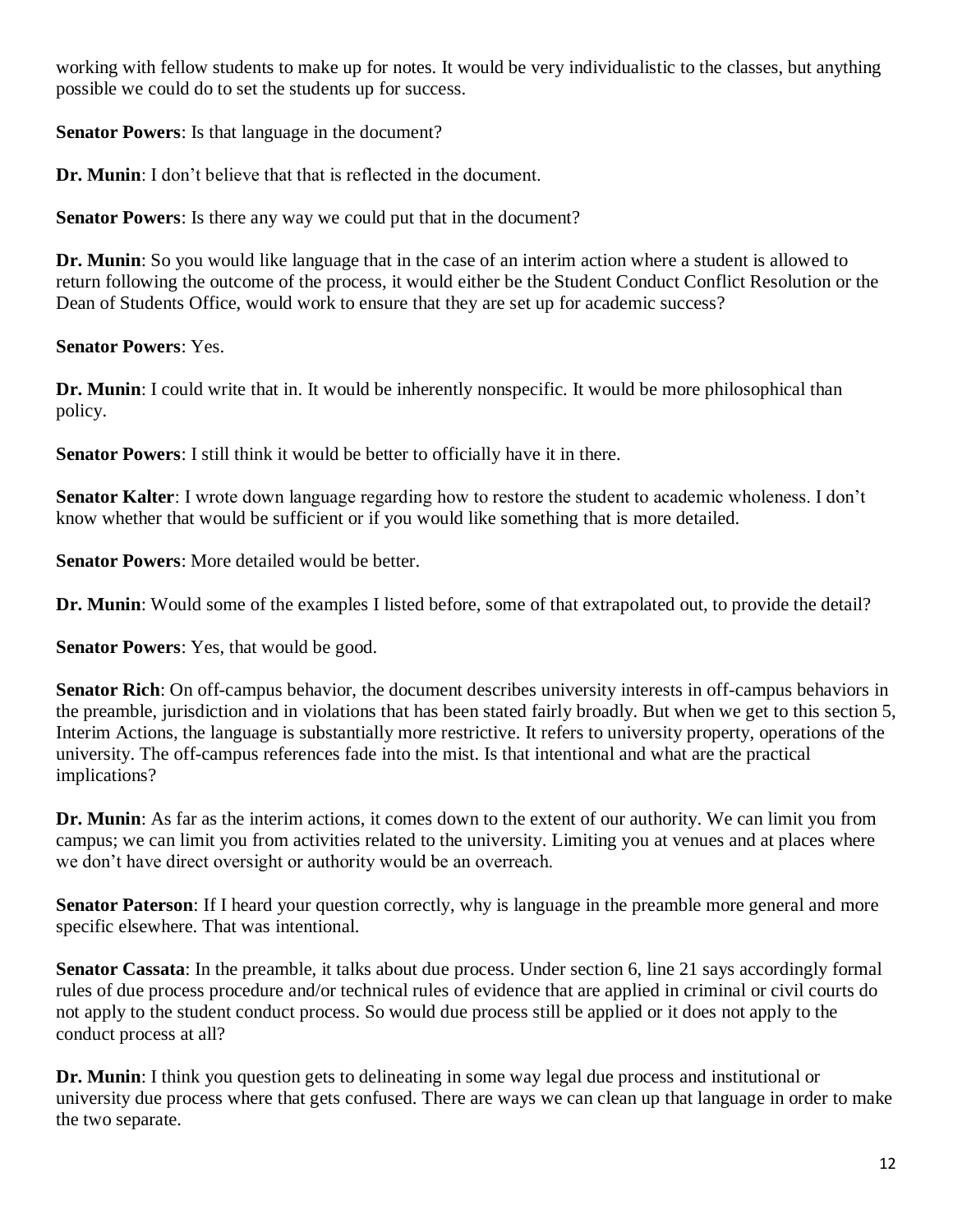working with fellow students to make up for notes. It would be very individualistic to the classes, but anything possible we could do to set the students up for success.

**Senator Powers**: Is that language in the document?

**Dr. Munin**: I don't believe that that is reflected in the document.

**Senator Powers**: Is there any way we could put that in the document?

**Dr. Munin**: So you would like language that in the case of an interim action where a student is allowed to return following the outcome of the process, it would either be the Student Conduct Conflict Resolution or the Dean of Students Office, would work to ensure that they are set up for academic success?

**Senator Powers**: Yes.

**Dr. Munin**: I could write that in. It would be inherently nonspecific. It would be more philosophical than policy.

**Senator Powers**: I still think it would be better to officially have it in there.

**Senator Kalter**: I wrote down language regarding how to restore the student to academic wholeness. I don't know whether that would be sufficient or if you would like something that is more detailed.

**Senator Powers**: More detailed would be better.

**Dr. Munin**: Would some of the examples I listed before, some of that extrapolated out, to provide the detail?

**Senator Powers**: Yes, that would be good.

**Senator Rich**: On off-campus behavior, the document describes university interests in off-campus behaviors in the preamble, jurisdiction and in violations that has been stated fairly broadly. But when we get to this section 5, Interim Actions, the language is substantially more restrictive. It refers to university property, operations of the university. The off-campus references fade into the mist. Is that intentional and what are the practical implications?

**Dr. Munin**: As far as the interim actions, it comes down to the extent of our authority. We can limit you from campus; we can limit you from activities related to the university. Limiting you at venues and at places where we don't have direct oversight or authority would be an overreach.

**Senator Paterson**: If I heard your question correctly, why is language in the preamble more general and more specific elsewhere. That was intentional.

**Senator Cassata**: In the preamble, it talks about due process. Under section 6, line 21 says accordingly formal rules of due process procedure and/or technical rules of evidence that are applied in criminal or civil courts do not apply to the student conduct process. So would due process still be applied or it does not apply to the conduct process at all?

**Dr. Munin**: I think you question gets to delineating in some way legal due process and institutional or university due process where that gets confused. There are ways we can clean up that language in order to make the two separate.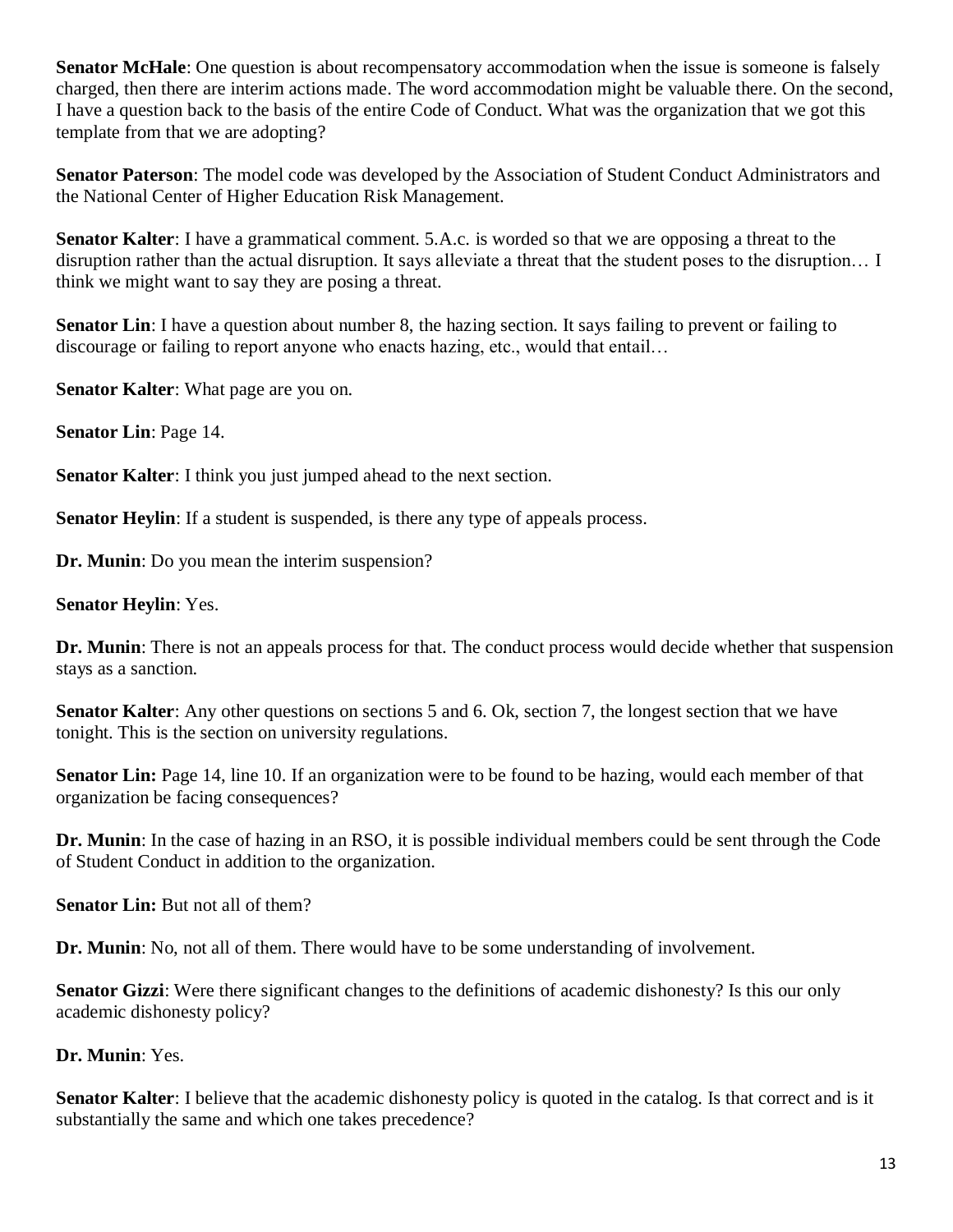**Senator McHale**: One question is about recompensatory accommodation when the issue is someone is falsely charged, then there are interim actions made. The word accommodation might be valuable there. On the second, I have a question back to the basis of the entire Code of Conduct. What was the organization that we got this template from that we are adopting?

**Senator Paterson**: The model code was developed by the Association of Student Conduct Administrators and the National Center of Higher Education Risk Management.

**Senator Kalter**: I have a grammatical comment. 5.A.c. is worded so that we are opposing a threat to the disruption rather than the actual disruption. It says alleviate a threat that the student poses to the disruption… I think we might want to say they are posing a threat.

**Senator Lin**: I have a question about number 8, the hazing section. It says failing to prevent or failing to discourage or failing to report anyone who enacts hazing, etc., would that entail…

**Senator Kalter**: What page are you on.

**Senator Lin**: Page 14.

**Senator Kalter:** I think you just jumped ahead to the next section.

**Senator Heylin**: If a student is suspended, is there any type of appeals process.

**Dr. Munin**: Do you mean the interim suspension?

#### **Senator Heylin**: Yes.

**Dr. Munin**: There is not an appeals process for that. The conduct process would decide whether that suspension stays as a sanction.

**Senator Kalter**: Any other questions on sections 5 and 6. Ok, section 7, the longest section that we have tonight. This is the section on university regulations.

**Senator Lin:** Page 14, line 10. If an organization were to be found to be hazing, would each member of that organization be facing consequences?

**Dr. Munin**: In the case of hazing in an RSO, it is possible individual members could be sent through the Code of Student Conduct in addition to the organization.

**Senator Lin:** But not all of them?

**Dr. Munin**: No, not all of them. There would have to be some understanding of involvement.

**Senator Gizzi**: Were there significant changes to the definitions of academic dishonesty? Is this our only academic dishonesty policy?

**Dr. Munin**: Yes.

**Senator Kalter**: I believe that the academic dishonesty policy is quoted in the catalog. Is that correct and is it substantially the same and which one takes precedence?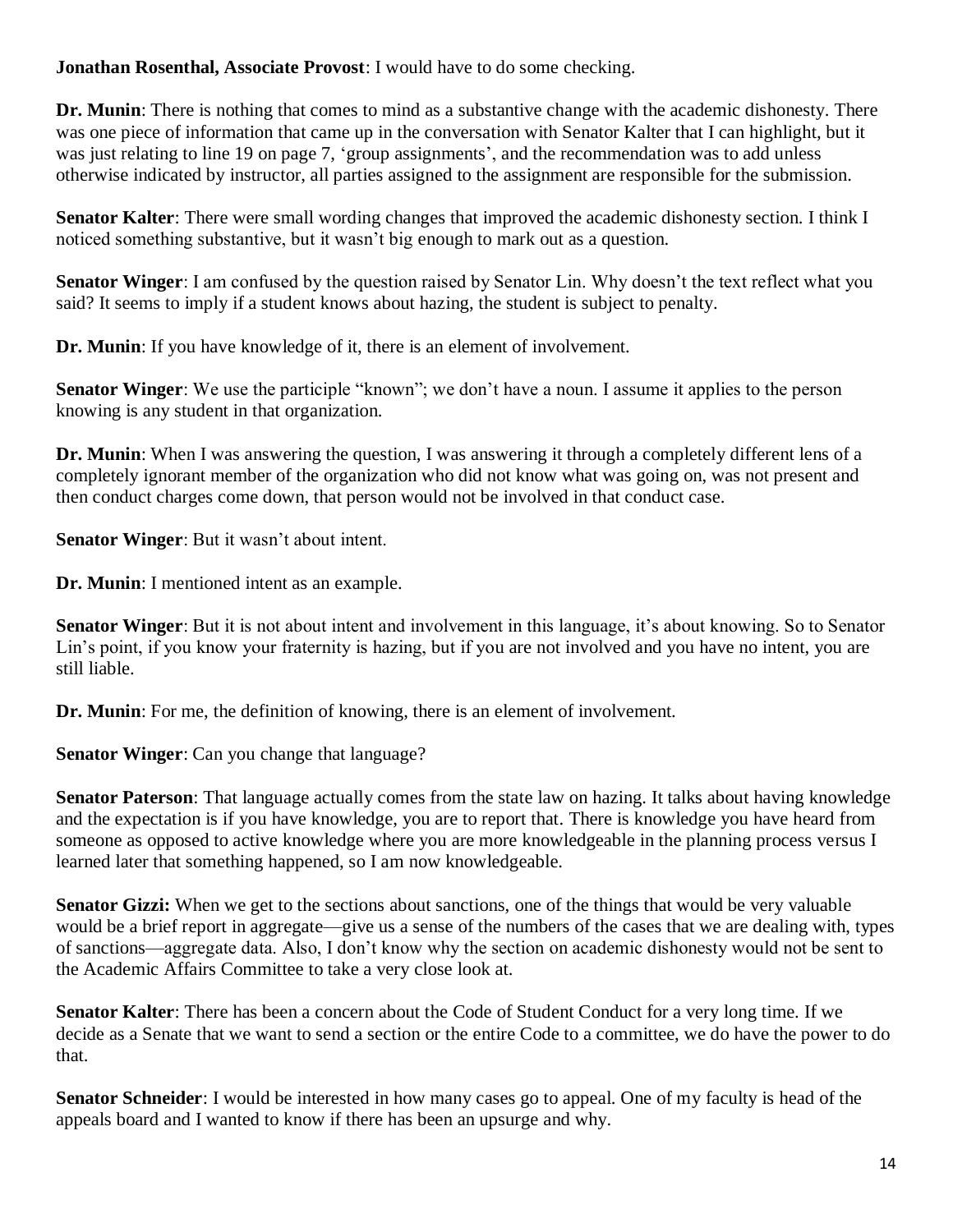**Jonathan Rosenthal, Associate Provost**: I would have to do some checking.

**Dr. Munin**: There is nothing that comes to mind as a substantive change with the academic dishonesty. There was one piece of information that came up in the conversation with Senator Kalter that I can highlight, but it was just relating to line 19 on page 7, 'group assignments', and the recommendation was to add unless otherwise indicated by instructor, all parties assigned to the assignment are responsible for the submission.

**Senator Kalter**: There were small wording changes that improved the academic dishonesty section. I think I noticed something substantive, but it wasn't big enough to mark out as a question.

**Senator Winger**: I am confused by the question raised by Senator Lin. Why doesn't the text reflect what you said? It seems to imply if a student knows about hazing, the student is subject to penalty.

**Dr. Munin**: If you have knowledge of it, there is an element of involvement.

**Senator Winger**: We use the participle "known"; we don't have a noun. I assume it applies to the person knowing is any student in that organization.

**Dr. Munin**: When I was answering the question, I was answering it through a completely different lens of a completely ignorant member of the organization who did not know what was going on, was not present and then conduct charges come down, that person would not be involved in that conduct case.

**Senator Winger**: But it wasn't about intent.

**Dr. Munin**: I mentioned intent as an example.

**Senator Winger**: But it is not about intent and involvement in this language, it's about knowing. So to Senator Lin's point, if you know your fraternity is hazing, but if you are not involved and you have no intent, you are still liable.

**Dr. Munin**: For me, the definition of knowing, there is an element of involvement.

**Senator Winger**: Can you change that language?

**Senator Paterson**: That language actually comes from the state law on hazing. It talks about having knowledge and the expectation is if you have knowledge, you are to report that. There is knowledge you have heard from someone as opposed to active knowledge where you are more knowledgeable in the planning process versus I learned later that something happened, so I am now knowledgeable.

**Senator Gizzi:** When we get to the sections about sanctions, one of the things that would be very valuable would be a brief report in aggregate—give us a sense of the numbers of the cases that we are dealing with, types of sanctions—aggregate data. Also, I don't know why the section on academic dishonesty would not be sent to the Academic Affairs Committee to take a very close look at.

**Senator Kalter**: There has been a concern about the Code of Student Conduct for a very long time. If we decide as a Senate that we want to send a section or the entire Code to a committee, we do have the power to do that.

**Senator Schneider**: I would be interested in how many cases go to appeal. One of my faculty is head of the appeals board and I wanted to know if there has been an upsurge and why.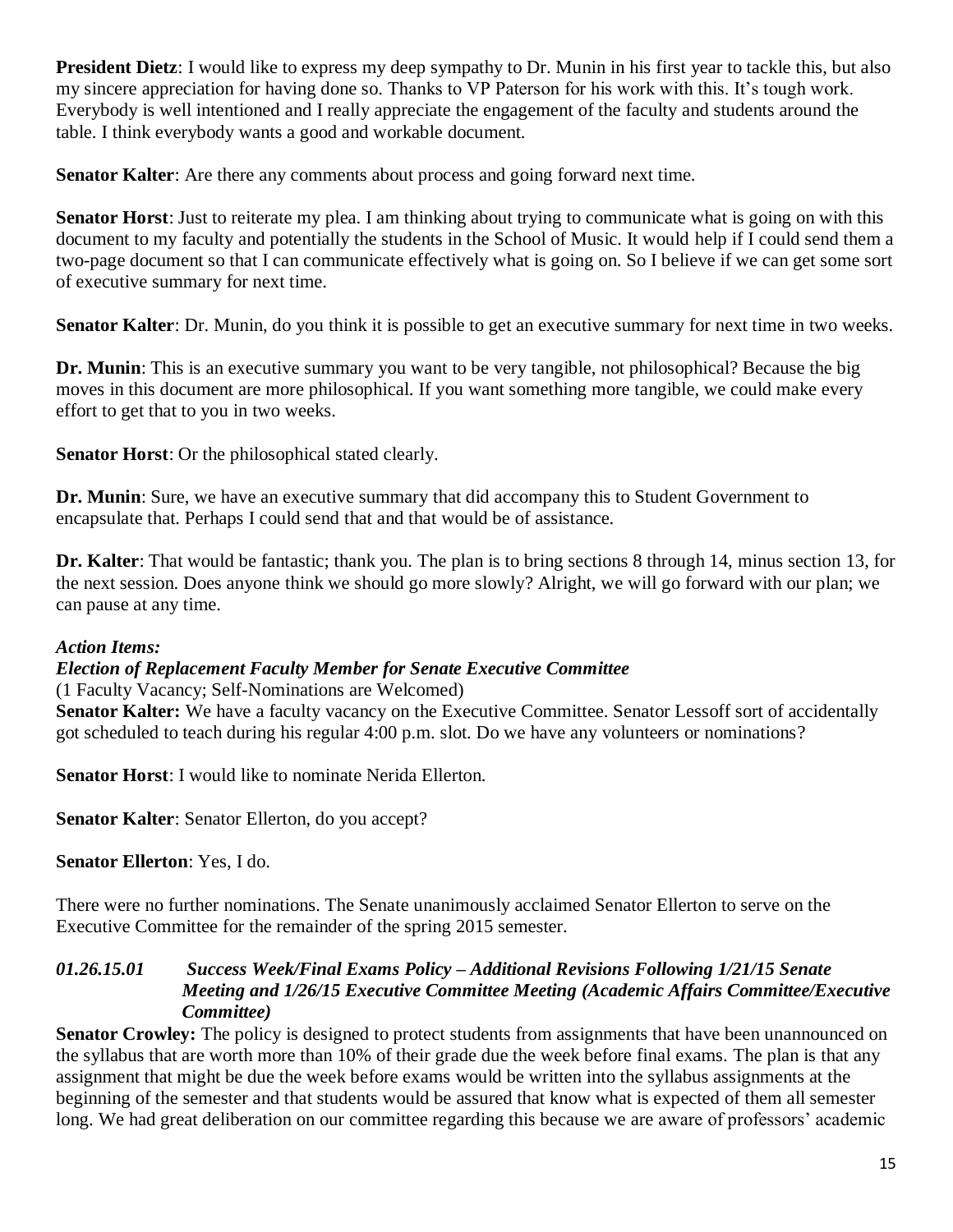**President Dietz**: I would like to express my deep sympathy to Dr. Munin in his first year to tackle this, but also my sincere appreciation for having done so. Thanks to VP Paterson for his work with this. It's tough work. Everybody is well intentioned and I really appreciate the engagement of the faculty and students around the table. I think everybody wants a good and workable document.

**Senator Kalter**: Are there any comments about process and going forward next time.

**Senator Horst**: Just to reiterate my plea. I am thinking about trying to communicate what is going on with this document to my faculty and potentially the students in the School of Music. It would help if I could send them a two-page document so that I can communicate effectively what is going on. So I believe if we can get some sort of executive summary for next time.

**Senator Kalter**: Dr. Munin, do you think it is possible to get an executive summary for next time in two weeks.

**Dr. Munin**: This is an executive summary you want to be very tangible, not philosophical? Because the big moves in this document are more philosophical. If you want something more tangible, we could make every effort to get that to you in two weeks.

**Senator Horst**: Or the philosophical stated clearly.

**Dr. Munin**: Sure, we have an executive summary that did accompany this to Student Government to encapsulate that. Perhaps I could send that and that would be of assistance.

**Dr. Kalter**: That would be fantastic; thank you. The plan is to bring sections 8 through 14, minus section 13, for the next session. Does anyone think we should go more slowly? Alright, we will go forward with our plan; we can pause at any time.

#### *Action Items:*

## *Election of Replacement Faculty Member for Senate Executive Committee*

(1 Faculty Vacancy; Self-Nominations are Welcomed)

**Senator Kalter:** We have a faculty vacancy on the Executive Committee. Senator Lessoff sort of accidentally got scheduled to teach during his regular 4:00 p.m. slot. Do we have any volunteers or nominations?

**Senator Horst**: I would like to nominate Nerida Ellerton.

**Senator Kalter**: Senator Ellerton, do you accept?

**Senator Ellerton**: Yes, I do.

There were no further nominations. The Senate unanimously acclaimed Senator Ellerton to serve on the Executive Committee for the remainder of the spring 2015 semester.

#### *01.26.15.01 Success Week/Final Exams Policy – Additional Revisions Following 1/21/15 Senate Meeting and 1/26/15 Executive Committee Meeting (Academic Affairs Committee/Executive Committee)*

**Senator Crowley:** The policy is designed to protect students from assignments that have been unannounced on the syllabus that are worth more than 10% of their grade due the week before final exams. The plan is that any assignment that might be due the week before exams would be written into the syllabus assignments at the beginning of the semester and that students would be assured that know what is expected of them all semester long. We had great deliberation on our committee regarding this because we are aware of professors' academic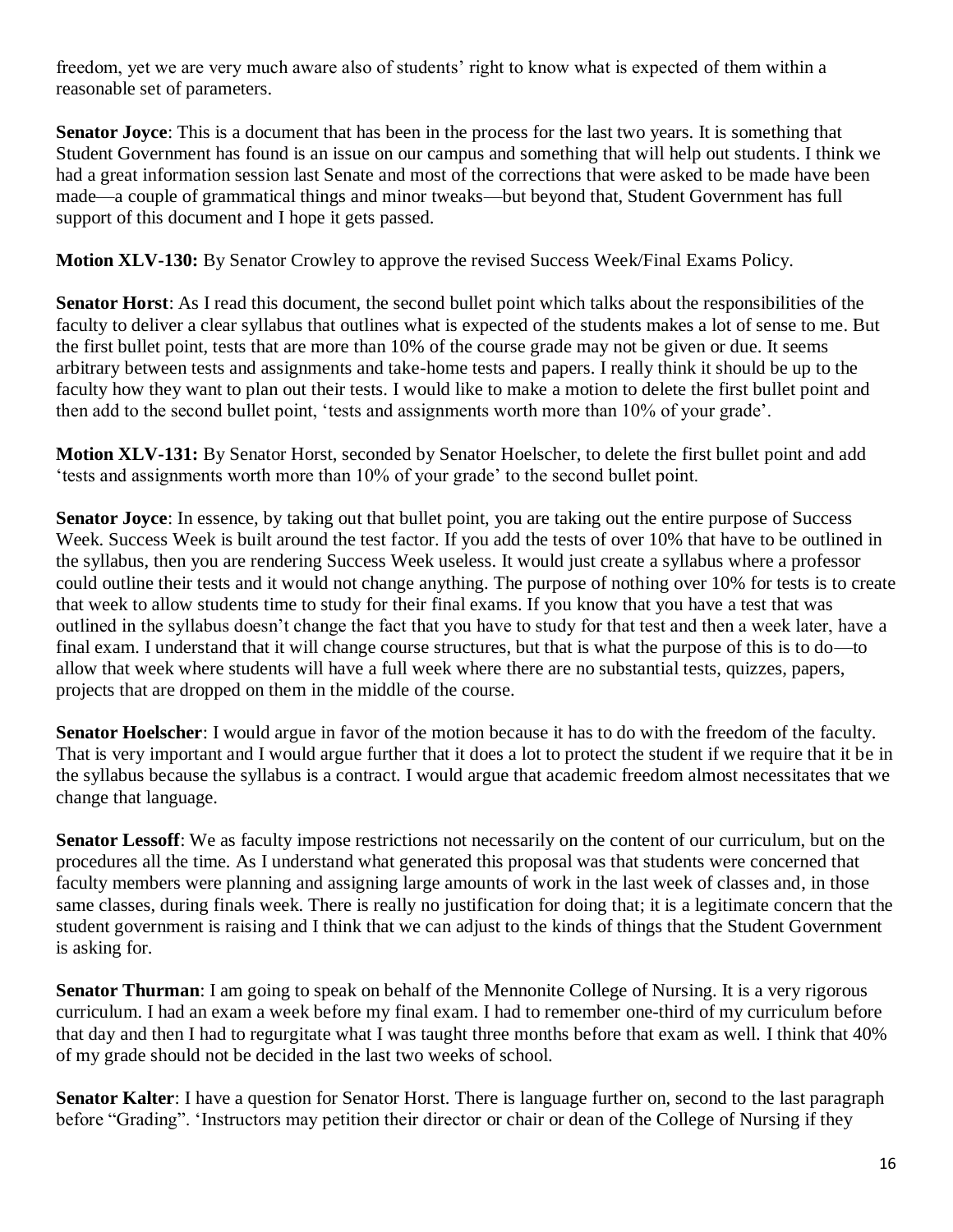freedom, yet we are very much aware also of students' right to know what is expected of them within a reasonable set of parameters.

**Senator Joyce**: This is a document that has been in the process for the last two years. It is something that Student Government has found is an issue on our campus and something that will help out students. I think we had a great information session last Senate and most of the corrections that were asked to be made have been made—a couple of grammatical things and minor tweaks—but beyond that, Student Government has full support of this document and I hope it gets passed.

**Motion XLV-130:** By Senator Crowley to approve the revised Success Week/Final Exams Policy.

**Senator Horst**: As I read this document, the second bullet point which talks about the responsibilities of the faculty to deliver a clear syllabus that outlines what is expected of the students makes a lot of sense to me. But the first bullet point, tests that are more than 10% of the course grade may not be given or due. It seems arbitrary between tests and assignments and take-home tests and papers. I really think it should be up to the faculty how they want to plan out their tests. I would like to make a motion to delete the first bullet point and then add to the second bullet point, 'tests and assignments worth more than 10% of your grade'.

**Motion XLV-131:** By Senator Horst, seconded by Senator Hoelscher, to delete the first bullet point and add 'tests and assignments worth more than 10% of your grade' to the second bullet point.

**Senator Joyce**: In essence, by taking out that bullet point, you are taking out the entire purpose of Success Week. Success Week is built around the test factor. If you add the tests of over 10% that have to be outlined in the syllabus, then you are rendering Success Week useless. It would just create a syllabus where a professor could outline their tests and it would not change anything. The purpose of nothing over 10% for tests is to create that week to allow students time to study for their final exams. If you know that you have a test that was outlined in the syllabus doesn't change the fact that you have to study for that test and then a week later, have a final exam. I understand that it will change course structures, but that is what the purpose of this is to do—to allow that week where students will have a full week where there are no substantial tests, quizzes, papers, projects that are dropped on them in the middle of the course.

**Senator Hoelscher**: I would argue in favor of the motion because it has to do with the freedom of the faculty. That is very important and I would argue further that it does a lot to protect the student if we require that it be in the syllabus because the syllabus is a contract. I would argue that academic freedom almost necessitates that we change that language.

**Senator Lessoff:** We as faculty impose restrictions not necessarily on the content of our curriculum, but on the procedures all the time. As I understand what generated this proposal was that students were concerned that faculty members were planning and assigning large amounts of work in the last week of classes and, in those same classes, during finals week. There is really no justification for doing that; it is a legitimate concern that the student government is raising and I think that we can adjust to the kinds of things that the Student Government is asking for.

**Senator Thurman**: I am going to speak on behalf of the Mennonite College of Nursing. It is a very rigorous curriculum. I had an exam a week before my final exam. I had to remember one-third of my curriculum before that day and then I had to regurgitate what I was taught three months before that exam as well. I think that 40% of my grade should not be decided in the last two weeks of school.

**Senator Kalter**: I have a question for Senator Horst. There is language further on, second to the last paragraph before "Grading". 'Instructors may petition their director or chair or dean of the College of Nursing if they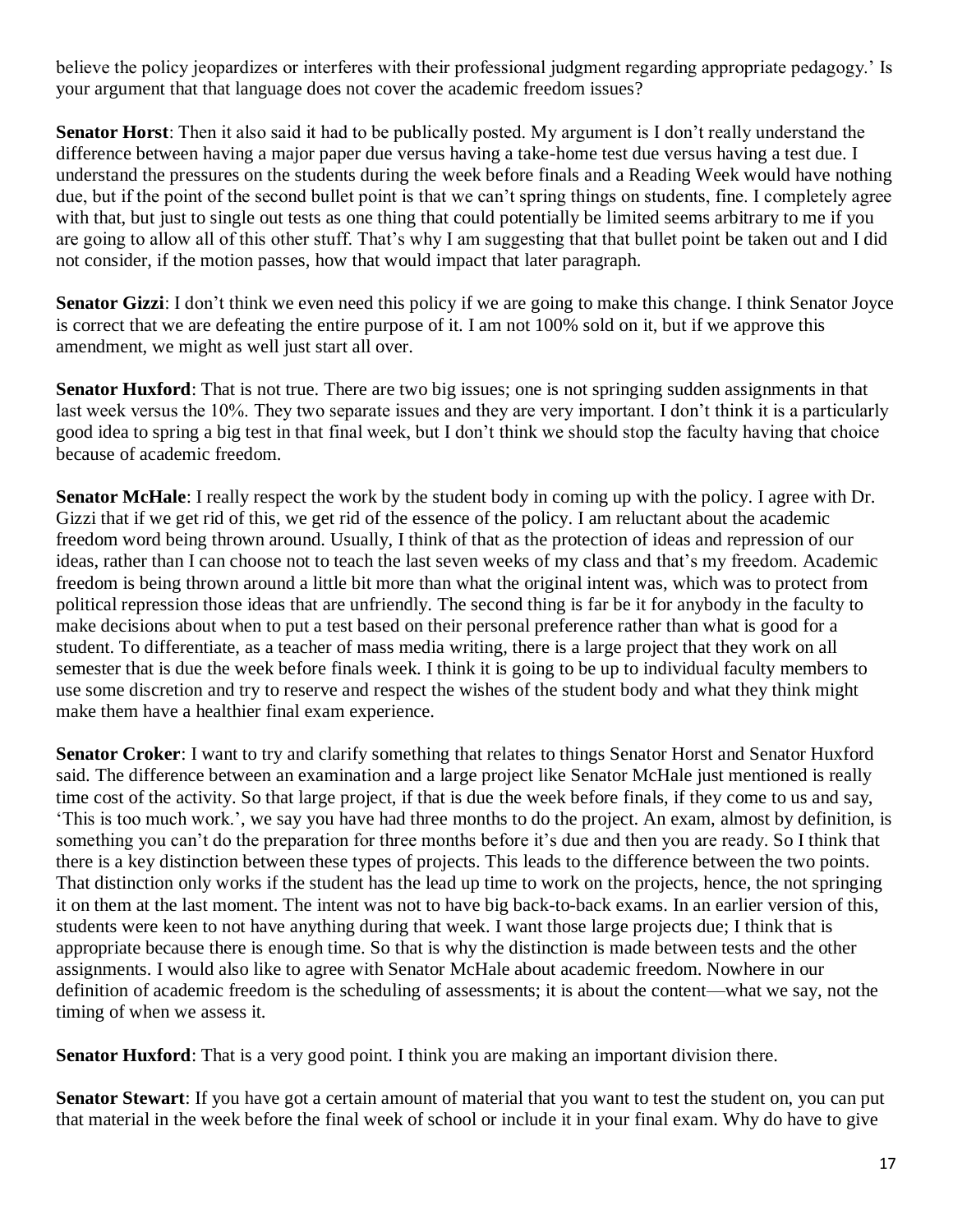believe the policy jeopardizes or interferes with their professional judgment regarding appropriate pedagogy.' Is your argument that that language does not cover the academic freedom issues?

**Senator Horst**: Then it also said it had to be publically posted. My argument is I don't really understand the difference between having a major paper due versus having a take-home test due versus having a test due. I understand the pressures on the students during the week before finals and a Reading Week would have nothing due, but if the point of the second bullet point is that we can't spring things on students, fine. I completely agree with that, but just to single out tests as one thing that could potentially be limited seems arbitrary to me if you are going to allow all of this other stuff. That's why I am suggesting that that bullet point be taken out and I did not consider, if the motion passes, how that would impact that later paragraph.

**Senator Gizzi**: I don't think we even need this policy if we are going to make this change. I think Senator Joyce is correct that we are defeating the entire purpose of it. I am not 100% sold on it, but if we approve this amendment, we might as well just start all over.

**Senator Huxford**: That is not true. There are two big issues; one is not springing sudden assignments in that last week versus the 10%. They two separate issues and they are very important. I don't think it is a particularly good idea to spring a big test in that final week, but I don't think we should stop the faculty having that choice because of academic freedom.

**Senator McHale**: I really respect the work by the student body in coming up with the policy. I agree with Dr. Gizzi that if we get rid of this, we get rid of the essence of the policy. I am reluctant about the academic freedom word being thrown around. Usually, I think of that as the protection of ideas and repression of our ideas, rather than I can choose not to teach the last seven weeks of my class and that's my freedom. Academic freedom is being thrown around a little bit more than what the original intent was, which was to protect from political repression those ideas that are unfriendly. The second thing is far be it for anybody in the faculty to make decisions about when to put a test based on their personal preference rather than what is good for a student. To differentiate, as a teacher of mass media writing, there is a large project that they work on all semester that is due the week before finals week. I think it is going to be up to individual faculty members to use some discretion and try to reserve and respect the wishes of the student body and what they think might make them have a healthier final exam experience.

**Senator Croker**: I want to try and clarify something that relates to things Senator Horst and Senator Huxford said. The difference between an examination and a large project like Senator McHale just mentioned is really time cost of the activity. So that large project, if that is due the week before finals, if they come to us and say, 'This is too much work.', we say you have had three months to do the project. An exam, almost by definition, is something you can't do the preparation for three months before it's due and then you are ready. So I think that there is a key distinction between these types of projects. This leads to the difference between the two points. That distinction only works if the student has the lead up time to work on the projects, hence, the not springing it on them at the last moment. The intent was not to have big back-to-back exams. In an earlier version of this, students were keen to not have anything during that week. I want those large projects due; I think that is appropriate because there is enough time. So that is why the distinction is made between tests and the other assignments. I would also like to agree with Senator McHale about academic freedom. Nowhere in our definition of academic freedom is the scheduling of assessments; it is about the content—what we say, not the timing of when we assess it.

**Senator Huxford**: That is a very good point. I think you are making an important division there.

**Senator Stewart**: If you have got a certain amount of material that you want to test the student on, you can put that material in the week before the final week of school or include it in your final exam. Why do have to give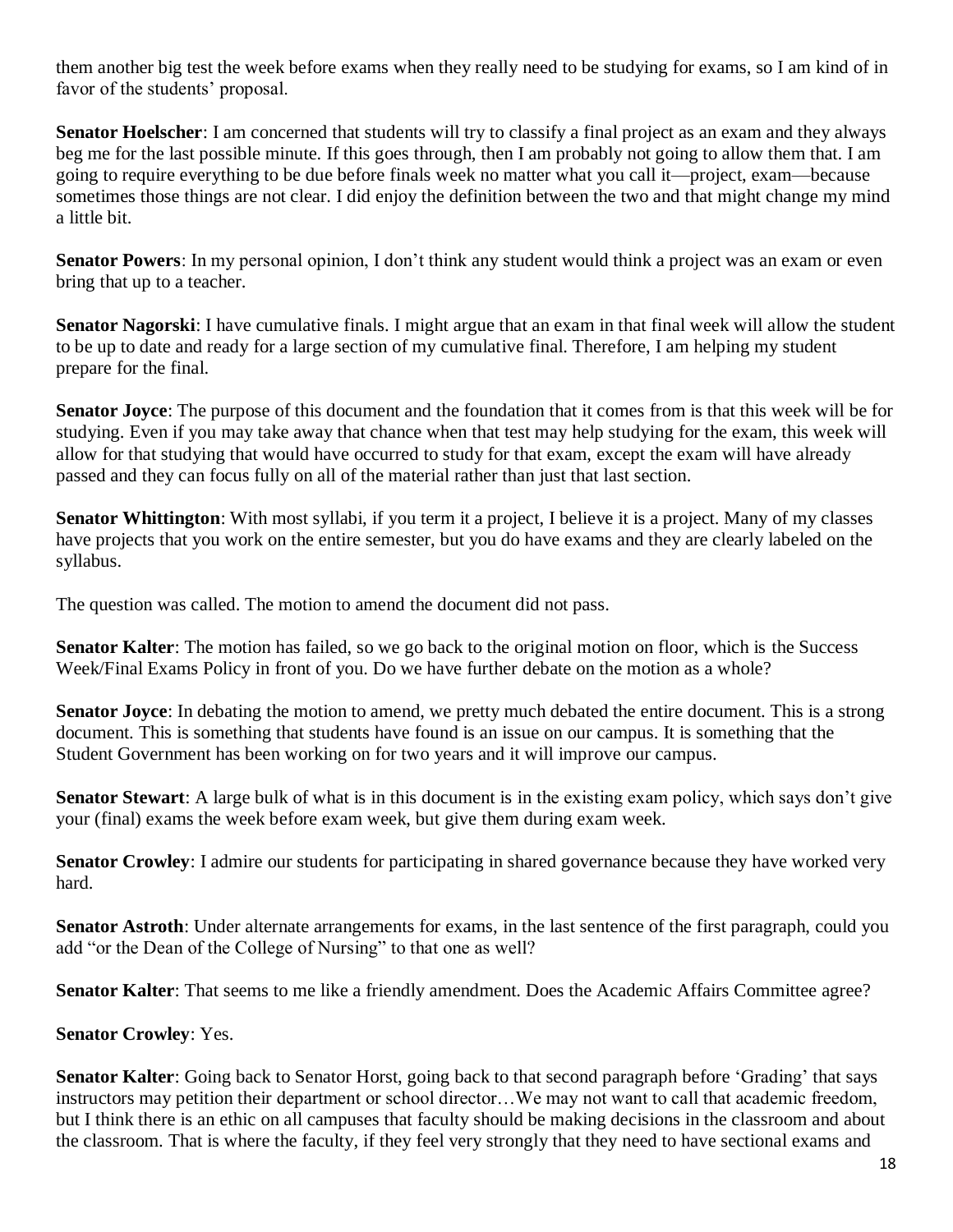them another big test the week before exams when they really need to be studying for exams, so I am kind of in favor of the students' proposal.

**Senator Hoelscher**: I am concerned that students will try to classify a final project as an exam and they always beg me for the last possible minute. If this goes through, then I am probably not going to allow them that. I am going to require everything to be due before finals week no matter what you call it—project, exam—because sometimes those things are not clear. I did enjoy the definition between the two and that might change my mind a little bit.

**Senator Powers**: In my personal opinion, I don't think any student would think a project was an exam or even bring that up to a teacher.

**Senator Nagorski**: I have cumulative finals. I might argue that an exam in that final week will allow the student to be up to date and ready for a large section of my cumulative final. Therefore, I am helping my student prepare for the final.

**Senator Joyce**: The purpose of this document and the foundation that it comes from is that this week will be for studying. Even if you may take away that chance when that test may help studying for the exam, this week will allow for that studying that would have occurred to study for that exam, except the exam will have already passed and they can focus fully on all of the material rather than just that last section.

**Senator Whittington**: With most syllabi, if you term it a project, I believe it is a project. Many of my classes have projects that you work on the entire semester, but you do have exams and they are clearly labeled on the syllabus.

The question was called. The motion to amend the document did not pass.

**Senator Kalter**: The motion has failed, so we go back to the original motion on floor, which is the Success Week/Final Exams Policy in front of you. Do we have further debate on the motion as a whole?

**Senator Joyce**: In debating the motion to amend, we pretty much debated the entire document. This is a strong document. This is something that students have found is an issue on our campus. It is something that the Student Government has been working on for two years and it will improve our campus.

**Senator Stewart**: A large bulk of what is in this document is in the existing exam policy, which says don't give your (final) exams the week before exam week, but give them during exam week.

**Senator Crowley**: I admire our students for participating in shared governance because they have worked very hard.

**Senator Astroth**: Under alternate arrangements for exams, in the last sentence of the first paragraph, could you add "or the Dean of the College of Nursing" to that one as well?

**Senator Kalter**: That seems to me like a friendly amendment. Does the Academic Affairs Committee agree?

#### **Senator Crowley**: Yes.

**Senator Kalter**: Going back to Senator Horst, going back to that second paragraph before 'Grading' that says instructors may petition their department or school director…We may not want to call that academic freedom, but I think there is an ethic on all campuses that faculty should be making decisions in the classroom and about the classroom. That is where the faculty, if they feel very strongly that they need to have sectional exams and